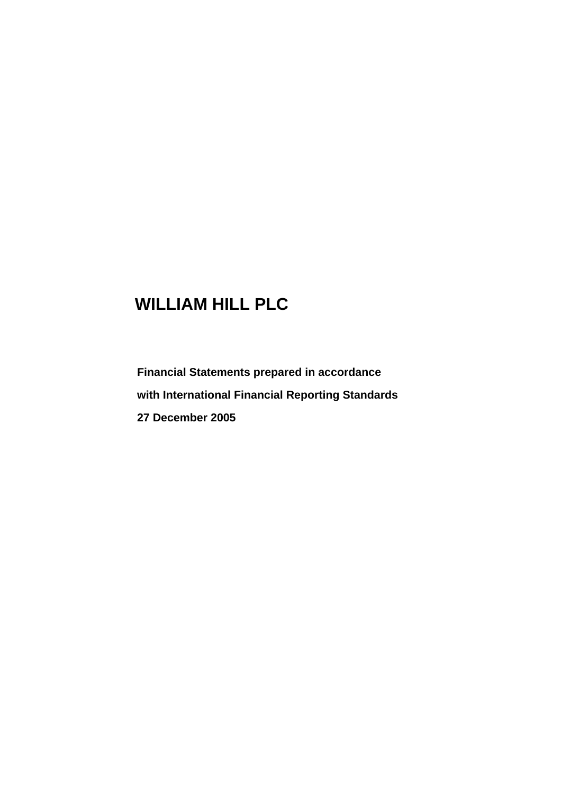# **WILLIAM HILL PLC**

**Financial Statements prepared in accordance with International Financial Reporting Standards 27 December 2005**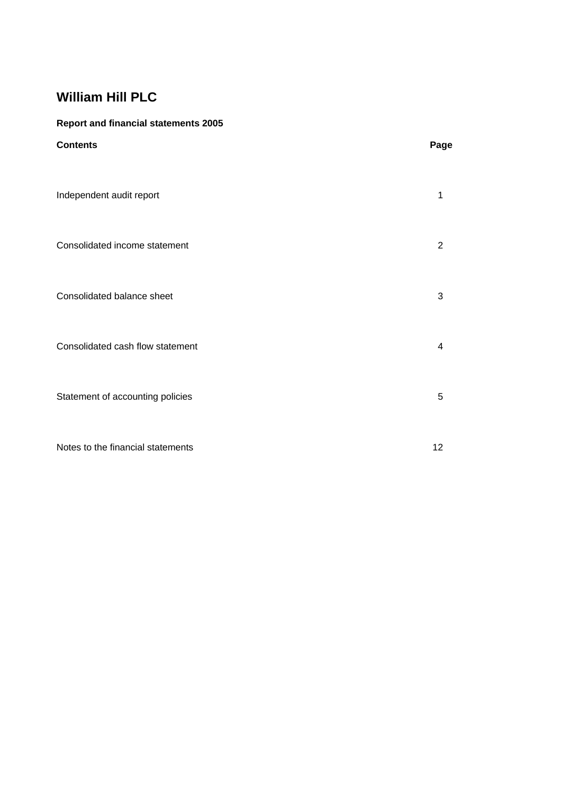# **Report and financial statements 2005**

| <b>Contents</b>                   | Page |
|-----------------------------------|------|
| Independent audit report          | 1    |
| Consolidated income statement     | 2    |
| Consolidated balance sheet        | 3    |
| Consolidated cash flow statement  | 4    |
| Statement of accounting policies  | 5    |
| Notes to the financial statements | 12   |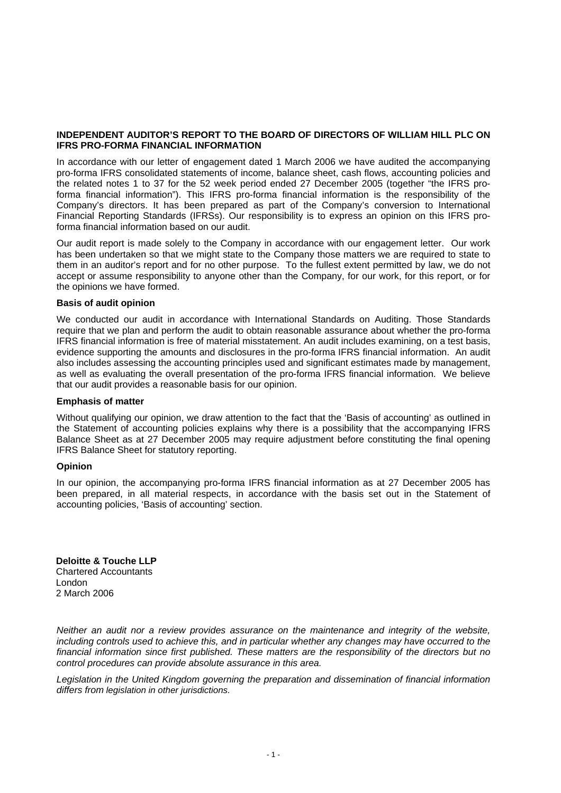### **INDEPENDENT AUDITOR'S REPORT TO THE BOARD OF DIRECTORS OF WILLIAM HILL PLC ON IFRS PRO-FORMA FINANCIAL INFORMATION**

In accordance with our letter of engagement dated 1 March 2006 we have audited the accompanying pro-forma IFRS consolidated statements of income, balance sheet, cash flows, accounting policies and the related notes 1 to 37 for the 52 week period ended 27 December 2005 (together "the IFRS proforma financial information"). This IFRS pro-forma financial information is the responsibility of the Company's directors. It has been prepared as part of the Company's conversion to International Financial Reporting Standards (IFRSs). Our responsibility is to express an opinion on this IFRS proforma financial information based on our audit.

Our audit report is made solely to the Company in accordance with our engagement letter. Our work has been undertaken so that we might state to the Company those matters we are required to state to them in an auditor's report and for no other purpose. To the fullest extent permitted by law, we do not accept or assume responsibility to anyone other than the Company, for our work, for this report, or for the opinions we have formed.

#### **Basis of audit opinion**

We conducted our audit in accordance with International Standards on Auditing. Those Standards require that we plan and perform the audit to obtain reasonable assurance about whether the pro-forma IFRS financial information is free of material misstatement. An audit includes examining, on a test basis, evidence supporting the amounts and disclosures in the pro-forma IFRS financial information. An audit also includes assessing the accounting principles used and significant estimates made by management, as well as evaluating the overall presentation of the pro-forma IFRS financial information. We believe that our audit provides a reasonable basis for our opinion.

#### **Emphasis of matter**

Without qualifying our opinion, we draw attention to the fact that the 'Basis of accounting' as outlined in the Statement of accounting policies explains why there is a possibility that the accompanying IFRS Balance Sheet as at 27 December 2005 may require adjustment before constituting the final opening IFRS Balance Sheet for statutory reporting.

#### **Opinion**

In our opinion, the accompanying pro-forma IFRS financial information as at 27 December 2005 has been prepared, in all material respects, in accordance with the basis set out in the Statement of accounting policies, 'Basis of accounting' section.

**Deloitte & Touche LLP**  Chartered Accountants London 2 March 2006

*Neither an audit nor a review provides assurance on the maintenance and integrity of the website, including controls used to achieve this, and in particular whether any changes may have occurred to the financial information since first published. These matters are the responsibility of the directors but no control procedures can provide absolute assurance in this area.* 

*Legislation in the United Kingdom governing the preparation and dissemination of financial information differs from legislation in other jurisdictions.*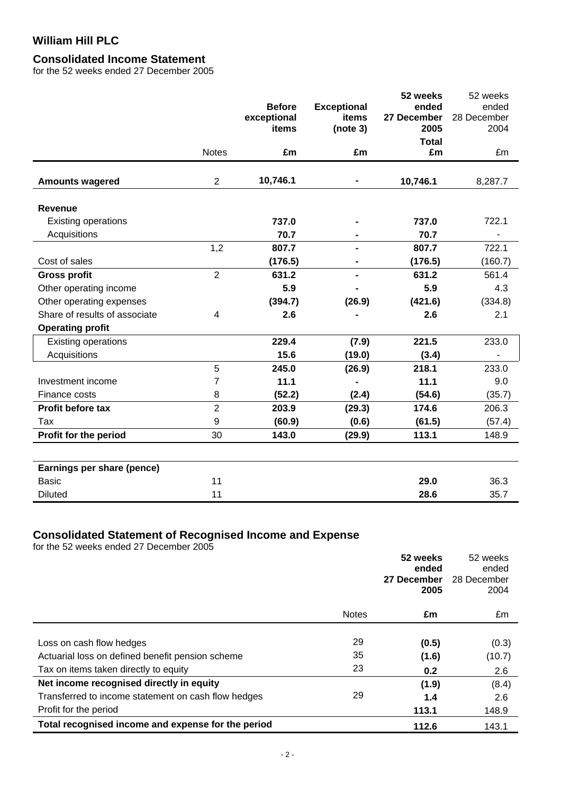# **Consolidated Income Statement**

for the 52 weeks ended 27 December 2005

|                               |                | <b>Before</b>        | <b>Exceptional</b> | 52 weeks<br>ended   | 52 weeks<br>ended   |
|-------------------------------|----------------|----------------------|--------------------|---------------------|---------------------|
|                               |                | exceptional<br>items | items<br>(note 3)  | 27 December<br>2005 | 28 December<br>2004 |
|                               | <b>Notes</b>   | £m                   | £m                 | <b>Total</b><br>£m  | £m                  |
| <b>Amounts wagered</b>        | $\overline{2}$ | 10,746.1             |                    | 10,746.1            | 8,287.7             |
| <b>Revenue</b>                |                |                      |                    |                     |                     |
| <b>Existing operations</b>    |                | 737.0                |                    | 737.0               | 722.1               |
| Acquisitions                  |                | 70.7                 |                    | 70.7                |                     |
|                               | 1,2            | 807.7                |                    | 807.7               | 722.1               |
| Cost of sales                 |                | (176.5)              |                    | (176.5)             | (160.7)             |
| <b>Gross profit</b>           | $\overline{2}$ | 631.2                |                    | 631.2               | 561.4               |
| Other operating income        |                | 5.9                  |                    | 5.9                 | 4.3                 |
| Other operating expenses      |                | (394.7)              | (26.9)             | (421.6)             | (334.8)             |
| Share of results of associate | 4              | 2.6                  |                    | 2.6                 | 2.1                 |
| <b>Operating profit</b>       |                |                      |                    |                     |                     |
| <b>Existing operations</b>    |                | 229.4                | (7.9)              | 221.5               | 233.0               |
| Acquisitions                  |                | 15.6                 | (19.0)             | (3.4)               |                     |
|                               | 5              | 245.0                | (26.9)             | 218.1               | 233.0               |
| Investment income             | $\overline{7}$ | 11.1                 |                    | 11.1                | 9.0                 |
| Finance costs                 | 8              | (52.2)               | (2.4)              | (54.6)              | (35.7)              |
| Profit before tax             | $\overline{2}$ | 203.9                | (29.3)             | 174.6               | 206.3               |
| Tax                           | 9              | (60.9)               | (0.6)              | (61.5)              | (57.4)              |
| Profit for the period         | 30             | 143.0                | (29.9)             | 113.1               | 148.9               |
| Earnings per share (pence)    |                |                      |                    |                     |                     |
| <b>Basic</b>                  | 11             |                      |                    | 29.0                | 36.3                |
| <b>Diluted</b>                | 11             |                      |                    | 28.6                | 35.7                |

## **Consolidated Statement of Recognised Income and Expense**

for the 52 weeks ended 27 December 2005

|                                                     |              | 52 weeks<br>ended<br>27 December<br>2005 | 52 weeks<br>ended<br>28 December<br>2004 |
|-----------------------------------------------------|--------------|------------------------------------------|------------------------------------------|
|                                                     | <b>Notes</b> | £m                                       | £m                                       |
| Loss on cash flow hedges                            | 29           | (0.5)                                    | (0.3)                                    |
| Actuarial loss on defined benefit pension scheme    | 35           | (1.6)                                    | (10.7)                                   |
| Tax on items taken directly to equity               | 23           | 0.2                                      | 2.6                                      |
| Net income recognised directly in equity            |              | (1.9)                                    | (8.4)                                    |
| Transferred to income statement on cash flow hedges | 29           | 1.4                                      | 2.6                                      |
| Profit for the period                               |              | 113.1                                    | 148.9                                    |
| Total recognised income and expense for the period  |              | 112.6                                    | 143.1                                    |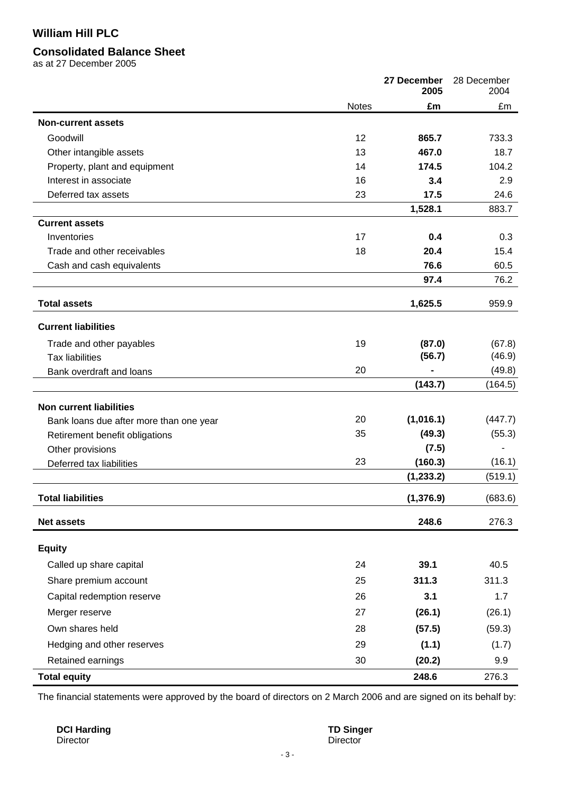# **Consolidated Balance Sheet**

as at 27 December 2005

|                                         |              | 27 December<br>2005 | 28 December<br>2004 |
|-----------------------------------------|--------------|---------------------|---------------------|
|                                         | <b>Notes</b> | £m                  | £m                  |
| <b>Non-current assets</b>               |              |                     |                     |
| Goodwill                                | 12           | 865.7               | 733.3               |
| Other intangible assets                 | 13           | 467.0               | 18.7                |
| Property, plant and equipment           | 14           | 174.5               | 104.2               |
| Interest in associate                   | 16           | 3.4                 | 2.9                 |
| Deferred tax assets                     | 23           | 17.5                | 24.6                |
|                                         |              | 1,528.1             | 883.7               |
| <b>Current assets</b>                   |              |                     |                     |
| Inventories                             | 17           | 0.4                 | 0.3                 |
| Trade and other receivables             | 18           | 20.4                | 15.4                |
| Cash and cash equivalents               |              | 76.6<br>97.4        | 60.5<br>76.2        |
| <b>Total assets</b>                     |              | 1,625.5             | 959.9               |
| <b>Current liabilities</b>              |              |                     |                     |
| Trade and other payables                | 19           | (87.0)              | (67.8)              |
| <b>Tax liabilities</b>                  |              | (56.7)              | (46.9)              |
| Bank overdraft and loans                | 20           |                     | (49.8)              |
|                                         |              | (143.7)             | (164.5)             |
| <b>Non current liabilities</b>          |              |                     |                     |
| Bank loans due after more than one year | 20           | (1,016.1)           | (447.7)             |
| Retirement benefit obligations          | 35           | (49.3)              | (55.3)              |
| Other provisions                        |              | (7.5)               |                     |
| Deferred tax liabilities                | 23           | (160.3)             | (16.1)              |
|                                         |              | (1, 233.2)          | (519.1)             |
| <b>Total liabilities</b>                |              | (1, 376.9)          | (683.6)             |
| <b>Net assets</b>                       |              | 248.6               | 276.3               |
| <b>Equity</b>                           |              |                     |                     |
| Called up share capital                 | 24           | 39.1                | 40.5                |
| Share premium account                   | 25           | 311.3               | 311.3               |
| Capital redemption reserve              | 26           | 3.1                 | 1.7                 |
| Merger reserve                          | 27           | (26.1)              | (26.1)              |
| Own shares held                         | 28           | (57.5)              | (59.3)              |
| Hedging and other reserves              | 29           | (1.1)               | (1.7)               |
| Retained earnings                       | 30           | (20.2)              | 9.9                 |
| <b>Total equity</b>                     |              | 248.6               | 276.3               |

The financial statements were approved by the board of directors on 2 March 2006 and are signed on its behalf by: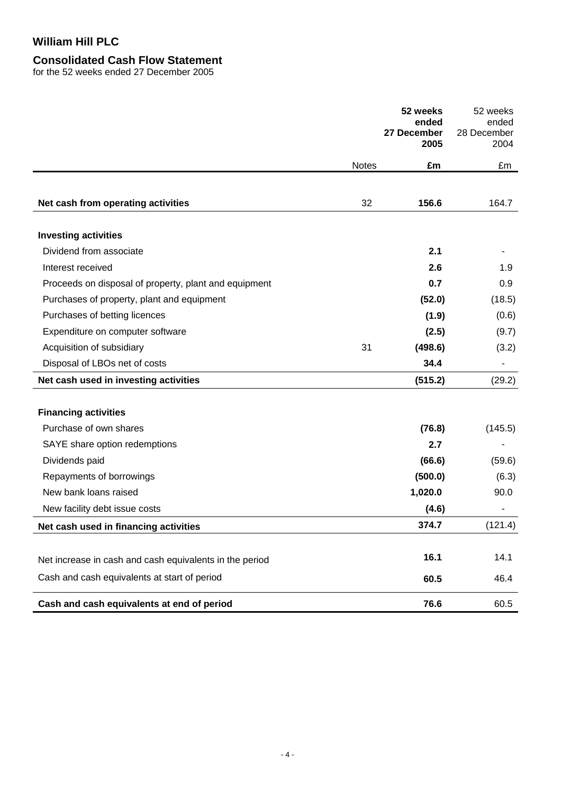# **Consolidated Cash Flow Statement**

for the 52 weeks ended 27 December 2005

|                                                         |              | 52 weeks<br>ended<br>27 December<br>2005 | 52 weeks<br>ended<br>28 December<br>2004 |
|---------------------------------------------------------|--------------|------------------------------------------|------------------------------------------|
|                                                         | <b>Notes</b> | £m                                       | £m                                       |
| Net cash from operating activities                      | 32           | 156.6                                    | 164.7                                    |
| <b>Investing activities</b>                             |              |                                          |                                          |
| Dividend from associate                                 |              | 2.1                                      |                                          |
| Interest received                                       |              | 2.6                                      | 1.9                                      |
| Proceeds on disposal of property, plant and equipment   |              | 0.7                                      | 0.9                                      |
| Purchases of property, plant and equipment              |              | (52.0)                                   | (18.5)                                   |
| Purchases of betting licences                           |              | (1.9)                                    | (0.6)                                    |
| Expenditure on computer software                        |              | (2.5)                                    | (9.7)                                    |
| Acquisition of subsidiary                               | 31           | (498.6)                                  | (3.2)                                    |
| Disposal of LBOs net of costs                           |              | 34.4                                     |                                          |
| Net cash used in investing activities                   |              | (515.2)                                  | (29.2)                                   |
| <b>Financing activities</b>                             |              |                                          |                                          |
| Purchase of own shares                                  |              |                                          |                                          |
|                                                         |              | (76.8)<br>2.7                            | (145.5)                                  |
| SAYE share option redemptions                           |              |                                          |                                          |
| Dividends paid<br>Repayments of borrowings              |              | (66.6)<br>(500.0)                        | (59.6)                                   |
| New bank loans raised                                   |              | 1,020.0                                  | (6.3)<br>90.0                            |
| New facility debt issue costs                           |              |                                          |                                          |
|                                                         |              | (4.6)                                    |                                          |
| Net cash used in financing activities                   |              | 374.7                                    | (121.4)                                  |
| Net increase in cash and cash equivalents in the period |              | 16.1                                     | 14.1                                     |
| Cash and cash equivalents at start of period            |              | 60.5                                     | 46.4                                     |
| Cash and cash equivalents at end of period              |              | 76.6                                     | 60.5                                     |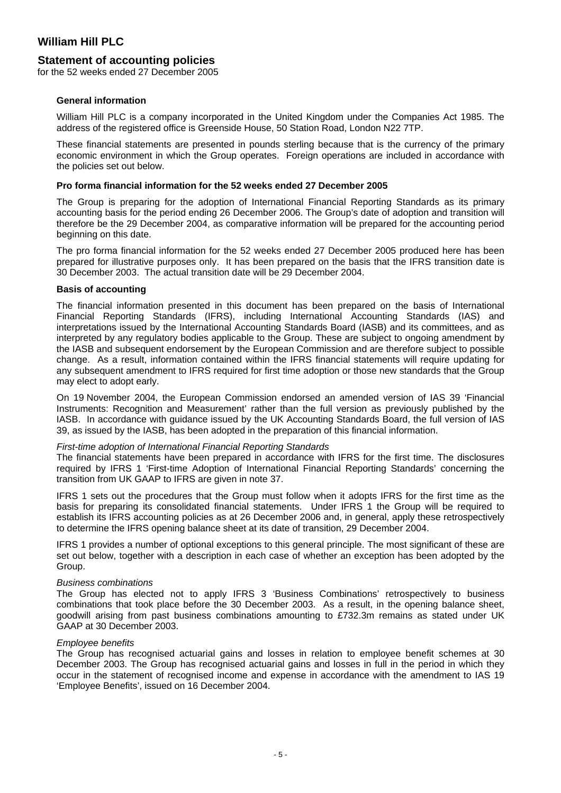### **Statement of accounting policies**

for the 52 weeks ended 27 December 2005

#### **General information**

William Hill PLC is a company incorporated in the United Kingdom under the Companies Act 1985. The address of the registered office is Greenside House, 50 Station Road, London N22 7TP.

These financial statements are presented in pounds sterling because that is the currency of the primary economic environment in which the Group operates. Foreign operations are included in accordance with the policies set out below.

#### **Pro forma financial information for the 52 weeks ended 27 December 2005**

The Group is preparing for the adoption of International Financial Reporting Standards as its primary accounting basis for the period ending 26 December 2006. The Group's date of adoption and transition will therefore be the 29 December 2004, as comparative information will be prepared for the accounting period beginning on this date.

The pro forma financial information for the 52 weeks ended 27 December 2005 produced here has been prepared for illustrative purposes only. It has been prepared on the basis that the IFRS transition date is 30 December 2003. The actual transition date will be 29 December 2004.

### **Basis of accounting**

The financial information presented in this document has been prepared on the basis of International Financial Reporting Standards (IFRS), including International Accounting Standards (IAS) and interpretations issued by the International Accounting Standards Board (IASB) and its committees, and as interpreted by any regulatory bodies applicable to the Group. These are subject to ongoing amendment by the IASB and subsequent endorsement by the European Commission and are therefore subject to possible change. As a result, information contained within the IFRS financial statements will require updating for any subsequent amendment to IFRS required for first time adoption or those new standards that the Group may elect to adopt early.

On 19 November 2004, the European Commission endorsed an amended version of IAS 39 'Financial Instruments: Recognition and Measurement' rather than the full version as previously published by the IASB. In accordance with guidance issued by the UK Accounting Standards Board, the full version of IAS 39, as issued by the IASB, has been adopted in the preparation of this financial information.

### *First-time adoption of International Financial Reporting Standards*

The financial statements have been prepared in accordance with IFRS for the first time. The disclosures required by IFRS 1 'First-time Adoption of International Financial Reporting Standards' concerning the transition from UK GAAP to IFRS are given in note 37.

IFRS 1 sets out the procedures that the Group must follow when it adopts IFRS for the first time as the basis for preparing its consolidated financial statements. Under IFRS 1 the Group will be required to establish its IFRS accounting policies as at 26 December 2006 and, in general, apply these retrospectively to determine the IFRS opening balance sheet at its date of transition, 29 December 2004.

IFRS 1 provides a number of optional exceptions to this general principle. The most significant of these are set out below, together with a description in each case of whether an exception has been adopted by the Group.

#### *Business combinations*

The Group has elected not to apply IFRS 3 'Business Combinations' retrospectively to business combinations that took place before the 30 December 2003. As a result, in the opening balance sheet, goodwill arising from past business combinations amounting to £732.3m remains as stated under UK GAAP at 30 December 2003.

### *Employee benefits*

The Group has recognised actuarial gains and losses in relation to employee benefit schemes at 30 December 2003. The Group has recognised actuarial gains and losses in full in the period in which they occur in the statement of recognised income and expense in accordance with the amendment to IAS 19 'Employee Benefits', issued on 16 December 2004.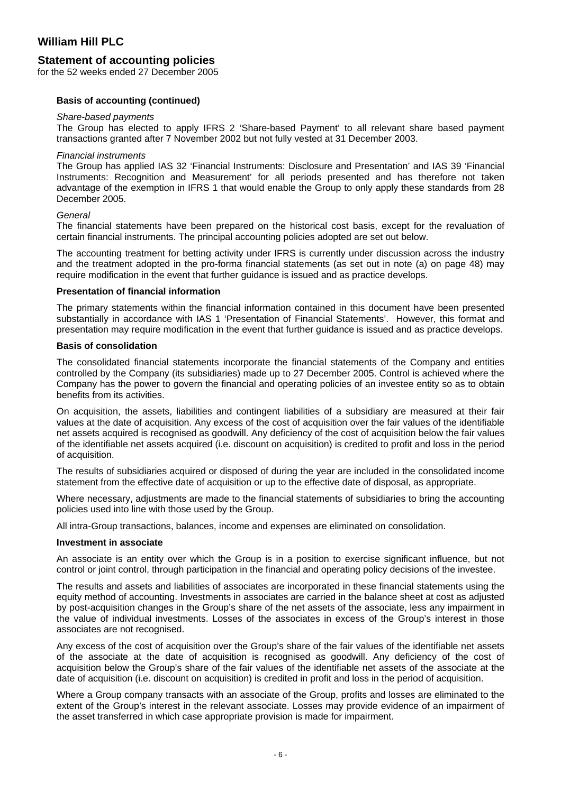### **Statement of accounting policies**

for the 52 weeks ended 27 December 2005

#### **Basis of accounting (continued)**

#### *Share-based payments*

The Group has elected to apply IFRS 2 'Share-based Payment' to all relevant share based payment transactions granted after 7 November 2002 but not fully vested at 31 December 2003.

#### *Financial instruments*

The Group has applied IAS 32 'Financial Instruments: Disclosure and Presentation' and IAS 39 'Financial Instruments: Recognition and Measurement' for all periods presented and has therefore not taken advantage of the exemption in IFRS 1 that would enable the Group to only apply these standards from 28 December 2005.

#### *General*

The financial statements have been prepared on the historical cost basis, except for the revaluation of certain financial instruments. The principal accounting policies adopted are set out below.

The accounting treatment for betting activity under IFRS is currently under discussion across the industry and the treatment adopted in the pro-forma financial statements (as set out in note (a) on page 48) may require modification in the event that further guidance is issued and as practice develops.

#### **Presentation of financial information**

The primary statements within the financial information contained in this document have been presented substantially in accordance with IAS 1 'Presentation of Financial Statements'. However, this format and presentation may require modification in the event that further guidance is issued and as practice develops.

#### **Basis of consolidation**

The consolidated financial statements incorporate the financial statements of the Company and entities controlled by the Company (its subsidiaries) made up to 27 December 2005. Control is achieved where the Company has the power to govern the financial and operating policies of an investee entity so as to obtain benefits from its activities.

On acquisition, the assets, liabilities and contingent liabilities of a subsidiary are measured at their fair values at the date of acquisition. Any excess of the cost of acquisition over the fair values of the identifiable net assets acquired is recognised as goodwill. Any deficiency of the cost of acquisition below the fair values of the identifiable net assets acquired (i.e. discount on acquisition) is credited to profit and loss in the period of acquisition.

The results of subsidiaries acquired or disposed of during the year are included in the consolidated income statement from the effective date of acquisition or up to the effective date of disposal, as appropriate.

Where necessary, adjustments are made to the financial statements of subsidiaries to bring the accounting policies used into line with those used by the Group.

All intra-Group transactions, balances, income and expenses are eliminated on consolidation.

#### **Investment in associate**

An associate is an entity over which the Group is in a position to exercise significant influence, but not control or joint control, through participation in the financial and operating policy decisions of the investee.

The results and assets and liabilities of associates are incorporated in these financial statements using the equity method of accounting. Investments in associates are carried in the balance sheet at cost as adjusted by post-acquisition changes in the Group's share of the net assets of the associate, less any impairment in the value of individual investments. Losses of the associates in excess of the Group's interest in those associates are not recognised.

Any excess of the cost of acquisition over the Group's share of the fair values of the identifiable net assets of the associate at the date of acquisition is recognised as goodwill. Any deficiency of the cost of acquisition below the Group's share of the fair values of the identifiable net assets of the associate at the date of acquisition (i.e. discount on acquisition) is credited in profit and loss in the period of acquisition.

Where a Group company transacts with an associate of the Group, profits and losses are eliminated to the extent of the Group's interest in the relevant associate. Losses may provide evidence of an impairment of the asset transferred in which case appropriate provision is made for impairment.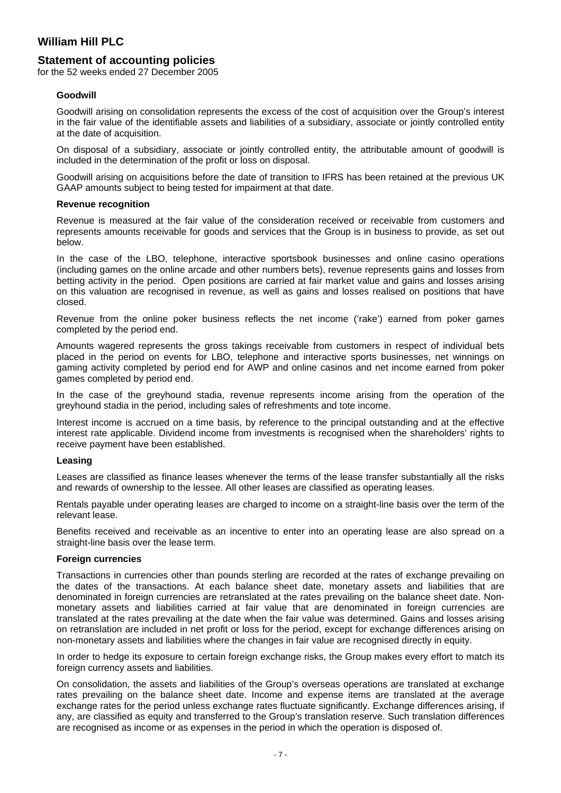### **Statement of accounting policies**

for the 52 weeks ended 27 December 2005

#### **Goodwill**

Goodwill arising on consolidation represents the excess of the cost of acquisition over the Group's interest in the fair value of the identifiable assets and liabilities of a subsidiary, associate or jointly controlled entity at the date of acquisition.

On disposal of a subsidiary, associate or jointly controlled entity, the attributable amount of goodwill is included in the determination of the profit or loss on disposal.

Goodwill arising on acquisitions before the date of transition to IFRS has been retained at the previous UK GAAP amounts subject to being tested for impairment at that date.

#### **Revenue recognition**

Revenue is measured at the fair value of the consideration received or receivable from customers and represents amounts receivable for goods and services that the Group is in business to provide, as set out below.

In the case of the LBO, telephone, interactive sportsbook businesses and online casino operations (including games on the online arcade and other numbers bets), revenue represents gains and losses from betting activity in the period. Open positions are carried at fair market value and gains and losses arising on this valuation are recognised in revenue, as well as gains and losses realised on positions that have closed.

Revenue from the online poker business reflects the net income ('rake') earned from poker games completed by the period end.

Amounts wagered represents the gross takings receivable from customers in respect of individual bets placed in the period on events for LBO, telephone and interactive sports businesses, net winnings on gaming activity completed by period end for AWP and online casinos and net income earned from poker games completed by period end.

In the case of the greyhound stadia, revenue represents income arising from the operation of the greyhound stadia in the period, including sales of refreshments and tote income.

Interest income is accrued on a time basis, by reference to the principal outstanding and at the effective interest rate applicable. Dividend income from investments is recognised when the shareholders' rights to receive payment have been established.

#### **Leasing**

Leases are classified as finance leases whenever the terms of the lease transfer substantially all the risks and rewards of ownership to the lessee. All other leases are classified as operating leases.

Rentals payable under operating leases are charged to income on a straight-line basis over the term of the relevant lease.

Benefits received and receivable as an incentive to enter into an operating lease are also spread on a straight-line basis over the lease term.

#### **Foreign currencies**

Transactions in currencies other than pounds sterling are recorded at the rates of exchange prevailing on the dates of the transactions. At each balance sheet date, monetary assets and liabilities that are denominated in foreign currencies are retranslated at the rates prevailing on the balance sheet date. Nonmonetary assets and liabilities carried at fair value that are denominated in foreign currencies are translated at the rates prevailing at the date when the fair value was determined. Gains and losses arising on retranslation are included in net profit or loss for the period, except for exchange differences arising on non-monetary assets and liabilities where the changes in fair value are recognised directly in equity.

In order to hedge its exposure to certain foreign exchange risks, the Group makes every effort to match its foreign currency assets and liabilities.

On consolidation, the assets and liabilities of the Group's overseas operations are translated at exchange rates prevailing on the balance sheet date. Income and expense items are translated at the average exchange rates for the period unless exchange rates fluctuate significantly. Exchange differences arising, if any, are classified as equity and transferred to the Group's translation reserve. Such translation differences are recognised as income or as expenses in the period in which the operation is disposed of.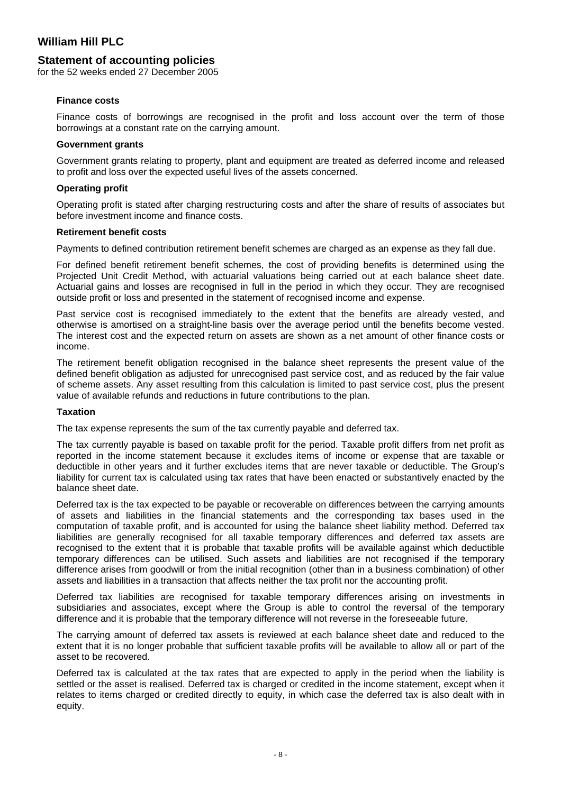### **Statement of accounting policies**

for the 52 weeks ended 27 December 2005

#### **Finance costs**

Finance costs of borrowings are recognised in the profit and loss account over the term of those borrowings at a constant rate on the carrying amount.

#### **Government grants**

Government grants relating to property, plant and equipment are treated as deferred income and released to profit and loss over the expected useful lives of the assets concerned.

#### **Operating profit**

Operating profit is stated after charging restructuring costs and after the share of results of associates but before investment income and finance costs.

#### **Retirement benefit costs**

Payments to defined contribution retirement benefit schemes are charged as an expense as they fall due.

For defined benefit retirement benefit schemes, the cost of providing benefits is determined using the Projected Unit Credit Method, with actuarial valuations being carried out at each balance sheet date. Actuarial gains and losses are recognised in full in the period in which they occur. They are recognised outside profit or loss and presented in the statement of recognised income and expense.

Past service cost is recognised immediately to the extent that the benefits are already vested, and otherwise is amortised on a straight-line basis over the average period until the benefits become vested. The interest cost and the expected return on assets are shown as a net amount of other finance costs or income.

The retirement benefit obligation recognised in the balance sheet represents the present value of the defined benefit obligation as adjusted for unrecognised past service cost, and as reduced by the fair value of scheme assets. Any asset resulting from this calculation is limited to past service cost, plus the present value of available refunds and reductions in future contributions to the plan.

#### **Taxation**

The tax expense represents the sum of the tax currently payable and deferred tax.

The tax currently payable is based on taxable profit for the period. Taxable profit differs from net profit as reported in the income statement because it excludes items of income or expense that are taxable or deductible in other years and it further excludes items that are never taxable or deductible. The Group's liability for current tax is calculated using tax rates that have been enacted or substantively enacted by the balance sheet date.

Deferred tax is the tax expected to be payable or recoverable on differences between the carrying amounts of assets and liabilities in the financial statements and the corresponding tax bases used in the computation of taxable profit, and is accounted for using the balance sheet liability method. Deferred tax liabilities are generally recognised for all taxable temporary differences and deferred tax assets are recognised to the extent that it is probable that taxable profits will be available against which deductible temporary differences can be utilised. Such assets and liabilities are not recognised if the temporary difference arises from goodwill or from the initial recognition (other than in a business combination) of other assets and liabilities in a transaction that affects neither the tax profit nor the accounting profit.

Deferred tax liabilities are recognised for taxable temporary differences arising on investments in subsidiaries and associates, except where the Group is able to control the reversal of the temporary difference and it is probable that the temporary difference will not reverse in the foreseeable future.

The carrying amount of deferred tax assets is reviewed at each balance sheet date and reduced to the extent that it is no longer probable that sufficient taxable profits will be available to allow all or part of the asset to be recovered.

Deferred tax is calculated at the tax rates that are expected to apply in the period when the liability is settled or the asset is realised. Deferred tax is charged or credited in the income statement, except when it relates to items charged or credited directly to equity, in which case the deferred tax is also dealt with in equity.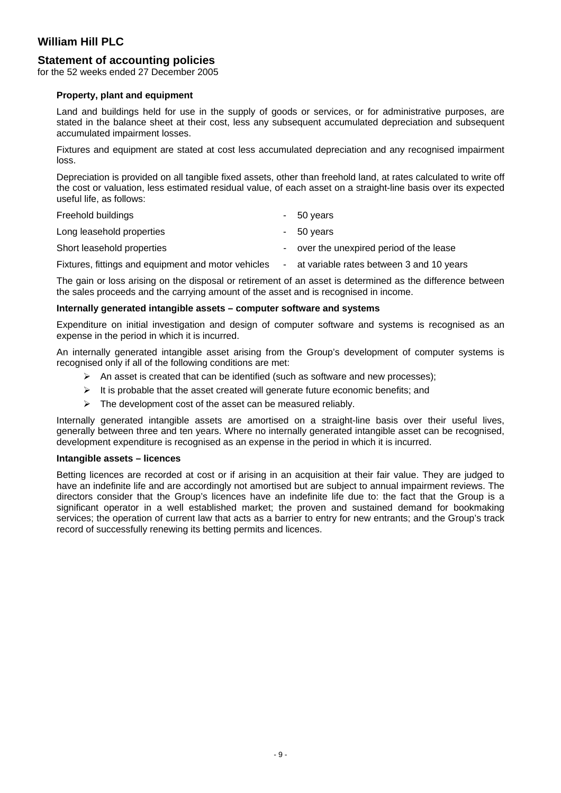### **Statement of accounting policies**

for the 52 weeks ended 27 December 2005

### **Property, plant and equipment**

Land and buildings held for use in the supply of goods or services, or for administrative purposes, are stated in the balance sheet at their cost, less any subsequent accumulated depreciation and subsequent accumulated impairment losses.

Fixtures and equipment are stated at cost less accumulated depreciation and any recognised impairment loss.

Depreciation is provided on all tangible fixed assets, other than freehold land, at rates calculated to write off the cost or valuation, less estimated residual value, of each asset on a straight-line basis over its expected useful life, as follows:

| Freehold buildings                                  | $-50$ years                                |
|-----------------------------------------------------|--------------------------------------------|
| Long leasehold properties                           | $-50$ years                                |
| Short leasehold properties                          | - over the unexpired period of the lease   |
| Fixtures, fittings and equipment and motor vehicles | - at variable rates between 3 and 10 years |

The gain or loss arising on the disposal or retirement of an asset is determined as the difference between the sales proceeds and the carrying amount of the asset and is recognised in income.

#### **Internally generated intangible assets – computer software and systems**

Expenditure on initial investigation and design of computer software and systems is recognised as an expense in the period in which it is incurred.

An internally generated intangible asset arising from the Group's development of computer systems is recognised only if all of the following conditions are met:

- $\triangleright$  An asset is created that can be identified (such as software and new processes);
- $\triangleright$  It is probable that the asset created will generate future economic benefits; and
- $\triangleright$  The development cost of the asset can be measured reliably.

Internally generated intangible assets are amortised on a straight-line basis over their useful lives, generally between three and ten years. Where no internally generated intangible asset can be recognised, development expenditure is recognised as an expense in the period in which it is incurred.

#### **Intangible assets – licences**

Betting licences are recorded at cost or if arising in an acquisition at their fair value. They are judged to have an indefinite life and are accordingly not amortised but are subject to annual impairment reviews. The directors consider that the Group's licences have an indefinite life due to: the fact that the Group is a significant operator in a well established market; the proven and sustained demand for bookmaking services; the operation of current law that acts as a barrier to entry for new entrants; and the Group's track record of successfully renewing its betting permits and licences.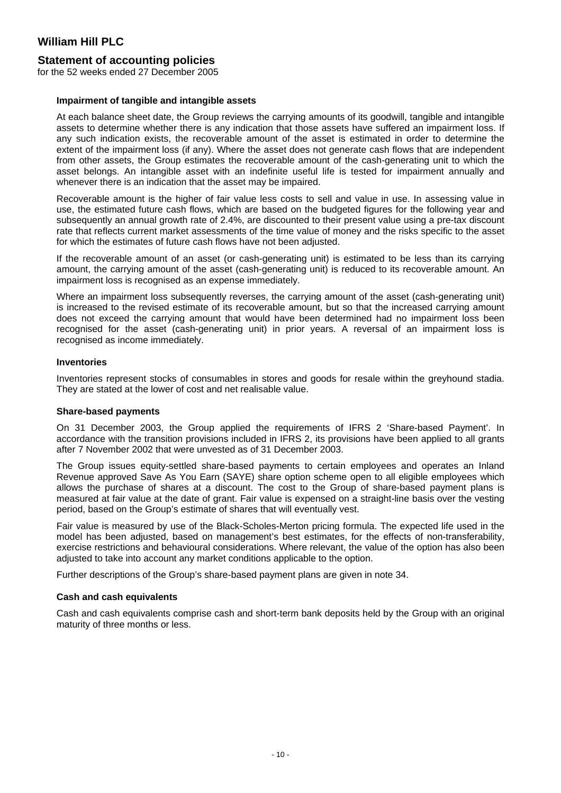### **Statement of accounting policies**

for the 52 weeks ended 27 December 2005

#### **Impairment of tangible and intangible assets**

At each balance sheet date, the Group reviews the carrying amounts of its goodwill, tangible and intangible assets to determine whether there is any indication that those assets have suffered an impairment loss. If any such indication exists, the recoverable amount of the asset is estimated in order to determine the extent of the impairment loss (if any). Where the asset does not generate cash flows that are independent from other assets, the Group estimates the recoverable amount of the cash-generating unit to which the asset belongs. An intangible asset with an indefinite useful life is tested for impairment annually and whenever there is an indication that the asset may be impaired.

Recoverable amount is the higher of fair value less costs to sell and value in use. In assessing value in use, the estimated future cash flows, which are based on the budgeted figures for the following year and subsequently an annual growth rate of 2.4%, are discounted to their present value using a pre-tax discount rate that reflects current market assessments of the time value of money and the risks specific to the asset for which the estimates of future cash flows have not been adjusted.

If the recoverable amount of an asset (or cash-generating unit) is estimated to be less than its carrying amount, the carrying amount of the asset (cash-generating unit) is reduced to its recoverable amount. An impairment loss is recognised as an expense immediately.

Where an impairment loss subsequently reverses, the carrying amount of the asset (cash-generating unit) is increased to the revised estimate of its recoverable amount, but so that the increased carrying amount does not exceed the carrying amount that would have been determined had no impairment loss been recognised for the asset (cash-generating unit) in prior years. A reversal of an impairment loss is recognised as income immediately.

#### **Inventories**

Inventories represent stocks of consumables in stores and goods for resale within the greyhound stadia. They are stated at the lower of cost and net realisable value.

#### **Share-based payments**

On 31 December 2003, the Group applied the requirements of IFRS 2 'Share-based Payment'. In accordance with the transition provisions included in IFRS 2, its provisions have been applied to all grants after 7 November 2002 that were unvested as of 31 December 2003.

The Group issues equity-settled share-based payments to certain employees and operates an Inland Revenue approved Save As You Earn (SAYE) share option scheme open to all eligible employees which allows the purchase of shares at a discount. The cost to the Group of share-based payment plans is measured at fair value at the date of grant. Fair value is expensed on a straight-line basis over the vesting period, based on the Group's estimate of shares that will eventually vest.

Fair value is measured by use of the Black-Scholes-Merton pricing formula. The expected life used in the model has been adjusted, based on management's best estimates, for the effects of non-transferability, exercise restrictions and behavioural considerations. Where relevant, the value of the option has also been adjusted to take into account any market conditions applicable to the option.

Further descriptions of the Group's share-based payment plans are given in note 34.

#### **Cash and cash equivalents**

Cash and cash equivalents comprise cash and short-term bank deposits held by the Group with an original maturity of three months or less.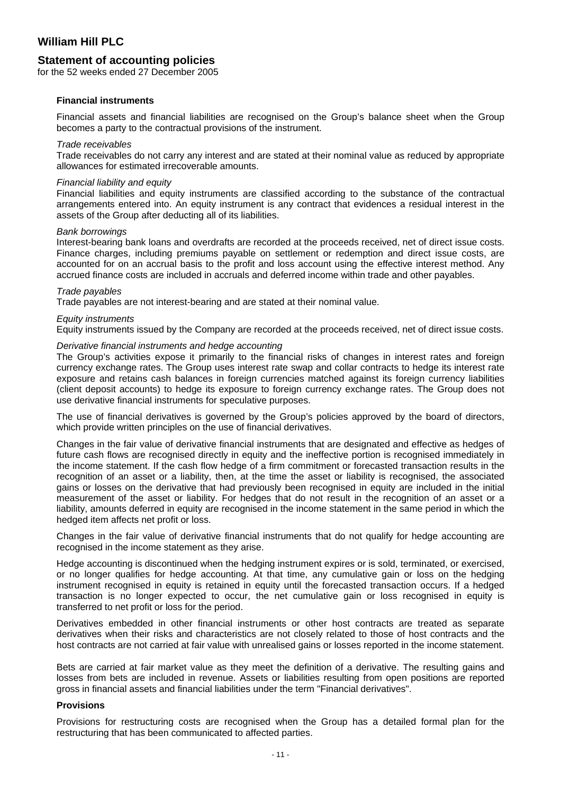### **Statement of accounting policies**

for the 52 weeks ended 27 December 2005

#### **Financial instruments**

Financial assets and financial liabilities are recognised on the Group's balance sheet when the Group becomes a party to the contractual provisions of the instrument.

#### *Trade receivables*

Trade receivables do not carry any interest and are stated at their nominal value as reduced by appropriate allowances for estimated irrecoverable amounts.

#### *Financial liability and equity*

Financial liabilities and equity instruments are classified according to the substance of the contractual arrangements entered into. An equity instrument is any contract that evidences a residual interest in the assets of the Group after deducting all of its liabilities.

#### *Bank borrowings*

Interest-bearing bank loans and overdrafts are recorded at the proceeds received, net of direct issue costs. Finance charges, including premiums payable on settlement or redemption and direct issue costs, are accounted for on an accrual basis to the profit and loss account using the effective interest method. Any accrued finance costs are included in accruals and deferred income within trade and other payables.

#### *Trade payables*

Trade payables are not interest-bearing and are stated at their nominal value.

#### *Equity instruments*

Equity instruments issued by the Company are recorded at the proceeds received, net of direct issue costs.

#### *Derivative financial instruments and hedge accounting*

The Group's activities expose it primarily to the financial risks of changes in interest rates and foreign currency exchange rates. The Group uses interest rate swap and collar contracts to hedge its interest rate exposure and retains cash balances in foreign currencies matched against its foreign currency liabilities (client deposit accounts) to hedge its exposure to foreign currency exchange rates. The Group does not use derivative financial instruments for speculative purposes.

The use of financial derivatives is governed by the Group's policies approved by the board of directors, which provide written principles on the use of financial derivatives.

Changes in the fair value of derivative financial instruments that are designated and effective as hedges of future cash flows are recognised directly in equity and the ineffective portion is recognised immediately in the income statement. If the cash flow hedge of a firm commitment or forecasted transaction results in the recognition of an asset or a liability, then, at the time the asset or liability is recognised, the associated gains or losses on the derivative that had previously been recognised in equity are included in the initial measurement of the asset or liability. For hedges that do not result in the recognition of an asset or a liability, amounts deferred in equity are recognised in the income statement in the same period in which the hedged item affects net profit or loss.

Changes in the fair value of derivative financial instruments that do not qualify for hedge accounting are recognised in the income statement as they arise.

Hedge accounting is discontinued when the hedging instrument expires or is sold, terminated, or exercised, or no longer qualifies for hedge accounting. At that time, any cumulative gain or loss on the hedging instrument recognised in equity is retained in equity until the forecasted transaction occurs. If a hedged transaction is no longer expected to occur, the net cumulative gain or loss recognised in equity is transferred to net profit or loss for the period.

Derivatives embedded in other financial instruments or other host contracts are treated as separate derivatives when their risks and characteristics are not closely related to those of host contracts and the host contracts are not carried at fair value with unrealised gains or losses reported in the income statement.

Bets are carried at fair market value as they meet the definition of a derivative. The resulting gains and losses from bets are included in revenue. Assets or liabilities resulting from open positions are reported gross in financial assets and financial liabilities under the term "Financial derivatives".

#### **Provisions**

Provisions for restructuring costs are recognised when the Group has a detailed formal plan for the restructuring that has been communicated to affected parties.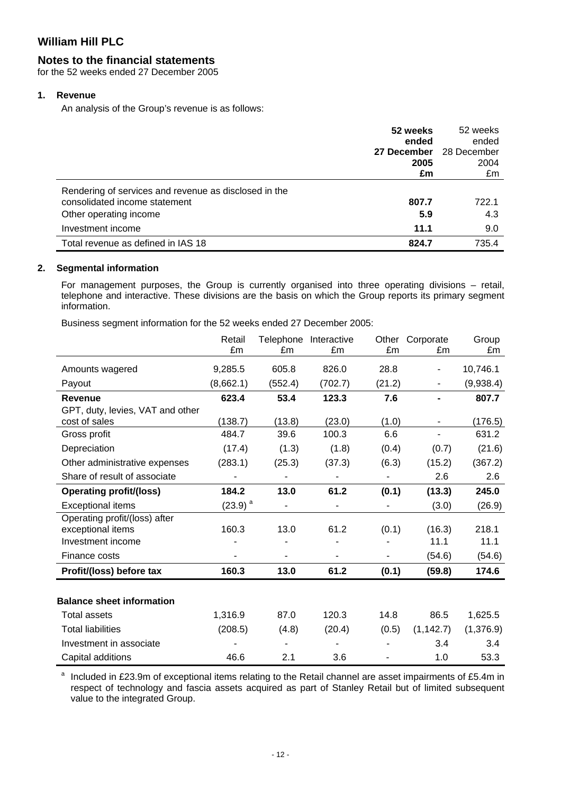# **Notes to the financial statements**

for the 52 weeks ended 27 December 2005

### **1. Revenue**

An analysis of the Group's revenue is as follows:

|                                                       | 52 weeks<br>ended | 52 weeks<br>ended |
|-------------------------------------------------------|-------------------|-------------------|
|                                                       | 27 December       | 28 December       |
|                                                       | 2005              | 2004              |
|                                                       | £m                | £m                |
| Rendering of services and revenue as disclosed in the |                   |                   |
| consolidated income statement                         | 807.7             | 722.1             |
| Other operating income                                | 5.9               | 4.3               |
| Investment income                                     | 11.1              | 9.0               |
| Total revenue as defined in IAS 18                    | 824.7             | 735.4             |

### **2. Segmental information**

For management purposes, the Group is currently organised into three operating divisions – retail, telephone and interactive. These divisions are the basis on which the Group reports its primary segment information.

Business segment information for the 52 weeks ended 27 December 2005:

|                                  | Retail<br>£m | £m      | Telephone Interactive<br>£m | £m     | Other Corporate<br>£m | Group<br>£m |
|----------------------------------|--------------|---------|-----------------------------|--------|-----------------------|-------------|
|                                  |              |         |                             |        |                       |             |
| Amounts wagered                  | 9,285.5      | 605.8   | 826.0                       | 28.8   |                       | 10,746.1    |
| Payout                           | (8,662.1)    | (552.4) | (702.7)                     | (21.2) | $\blacksquare$        | (9,938.4)   |
| <b>Revenue</b>                   | 623.4        | 53.4    | 123.3                       | 7.6    |                       | 807.7       |
| GPT, duty, levies, VAT and other |              |         |                             |        |                       |             |
| cost of sales                    | (138.7)      | (13.8)  | (23.0)                      | (1.0)  |                       | (176.5)     |
| Gross profit                     | 484.7        | 39.6    | 100.3                       | 6.6    |                       | 631.2       |
| Depreciation                     | (17.4)       | (1.3)   | (1.8)                       | (0.4)  | (0.7)                 | (21.6)      |
| Other administrative expenses    | (283.1)      | (25.3)  | (37.3)                      | (6.3)  | (15.2)                | (367.2)     |
| Share of result of associate     |              |         |                             |        | 2.6                   | 2.6         |
| <b>Operating profit/(loss)</b>   | 184.2        | 13.0    | 61.2                        | (0.1)  | (13.3)                | 245.0       |
| <b>Exceptional items</b>         | $(23.9)^{a}$ |         |                             |        | (3.0)                 | (26.9)      |
| Operating profit/(loss) after    |              |         |                             |        |                       |             |
| exceptional items                | 160.3        | 13.0    | 61.2                        | (0.1)  | (16.3)                | 218.1       |
| Investment income                |              |         |                             |        | 11.1                  | 11.1        |
| Finance costs                    |              |         |                             |        | (54.6)                | (54.6)      |
| Profit/(loss) before tax         | 160.3        | 13.0    | 61.2                        | (0.1)  | (59.8)                | 174.6       |
|                                  |              |         |                             |        |                       |             |
| <b>Balance sheet information</b> |              |         |                             |        |                       |             |
| <b>Total assets</b>              | 1,316.9      | 87.0    | 120.3                       | 14.8   | 86.5                  | 1,625.5     |
| <b>Total liabilities</b>         | (208.5)      | (4.8)   | (20.4)                      | (0.5)  | (1, 142.7)            | (1,376.9)   |
| Investment in associate          |              |         |                             |        | 3.4                   | 3.4         |
| Capital additions                | 46.6         | 2.1     | 3.6                         |        | 1.0                   | 53.3        |

a Included in £23.9m of exceptional items relating to the Retail channel are asset impairments of £5.4m in respect of technology and fascia assets acquired as part of Stanley Retail but of limited subsequent value to the integrated Group.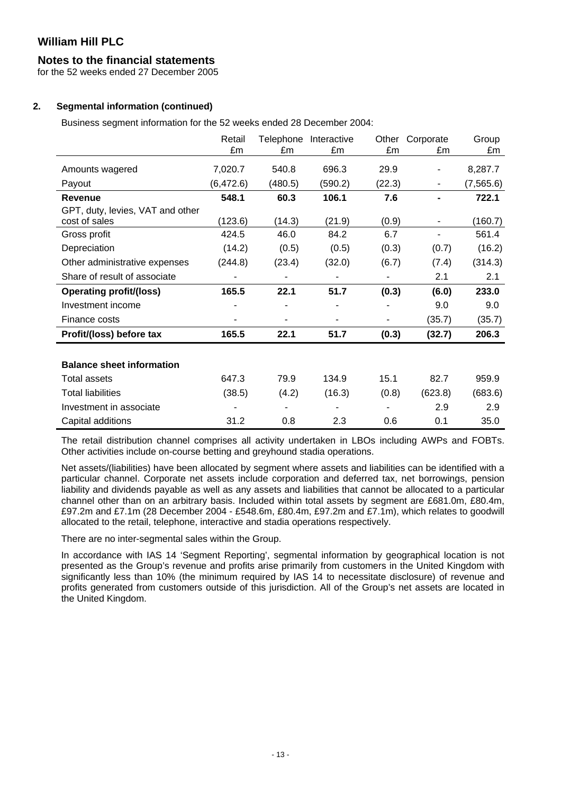### **Notes to the financial statements**

for the 52 weeks ended 27 December 2005

### **2. Segmental information (continued)**

Business segment information for the 52 weeks ended 28 December 2004:

|                                                   | Retail     | Telephone | Interactive | Other  | Corporate | Group     |
|---------------------------------------------------|------------|-----------|-------------|--------|-----------|-----------|
|                                                   | £m         | £m        | £m          | £m     | £m        | £m        |
| Amounts wagered                                   | 7,020.7    | 540.8     | 696.3       | 29.9   |           | 8,287.7   |
| Payout                                            | (6, 472.6) | (480.5)   | (590.2)     | (22.3) | ۰         | (7,565.6) |
| <b>Revenue</b>                                    | 548.1      | 60.3      | 106.1       | 7.6    |           | 722.1     |
| GPT, duty, levies, VAT and other<br>cost of sales | (123.6)    | (14.3)    | (21.9)      | (0.9)  |           | (160.7)   |
| Gross profit                                      | 424.5      | 46.0      | 84.2        | 6.7    |           | 561.4     |
| Depreciation                                      | (14.2)     | (0.5)     | (0.5)       | (0.3)  | (0.7)     | (16.2)    |
| Other administrative expenses                     | (244.8)    | (23.4)    | (32.0)      | (6.7)  | (7.4)     | (314.3)   |
| Share of result of associate                      |            |           |             |        | 2.1       | 2.1       |
| <b>Operating profit/(loss)</b>                    | 165.5      | 22.1      | 51.7        | (0.3)  | (6.0)     | 233.0     |
| Investment income                                 |            |           |             |        | 9.0       | 9.0       |
| Finance costs                                     |            |           |             |        | (35.7)    | (35.7)    |
| Profit/(loss) before tax                          | 165.5      | 22.1      | 51.7        | (0.3)  | (32.7)    | 206.3     |
|                                                   |            |           |             |        |           |           |
| <b>Balance sheet information</b>                  |            |           |             |        |           |           |
| <b>Total assets</b>                               | 647.3      | 79.9      | 134.9       | 15.1   | 82.7      | 959.9     |
| <b>Total liabilities</b>                          | (38.5)     | (4.2)     | (16.3)      | (0.8)  | (623.8)   | (683.6)   |
| Investment in associate                           |            |           |             |        | 2.9       | 2.9       |
| Capital additions                                 | 31.2       | 0.8       | 2.3         | 0.6    | 0.1       | 35.0      |

The retail distribution channel comprises all activity undertaken in LBOs including AWPs and FOBTs. Other activities include on-course betting and greyhound stadia operations.

Net assets/(liabilities) have been allocated by segment where assets and liabilities can be identified with a particular channel. Corporate net assets include corporation and deferred tax, net borrowings, pension liability and dividends payable as well as any assets and liabilities that cannot be allocated to a particular channel other than on an arbitrary basis. Included within total assets by segment are £681.0m, £80.4m, £97.2m and £7.1m (28 December 2004 - £548.6m, £80.4m, £97.2m and £7.1m), which relates to goodwill allocated to the retail, telephone, interactive and stadia operations respectively.

There are no inter-segmental sales within the Group.

In accordance with IAS 14 'Segment Reporting', segmental information by geographical location is not presented as the Group's revenue and profits arise primarily from customers in the United Kingdom with significantly less than 10% (the minimum required by IAS 14 to necessitate disclosure) of revenue and profits generated from customers outside of this jurisdiction. All of the Group's net assets are located in the United Kingdom.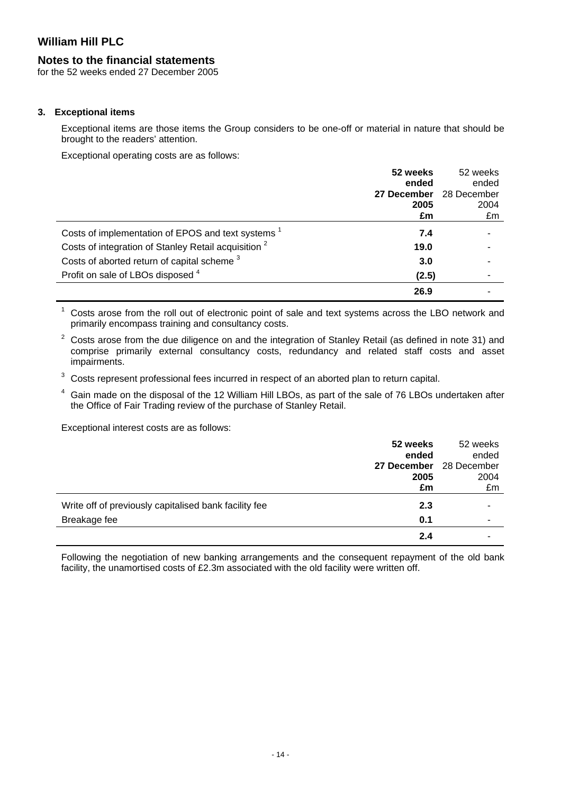### **Notes to the financial statements**

for the 52 weeks ended 27 December 2005

### **3. Exceptional items**

Exceptional items are those items the Group considers to be one-off or material in nature that should be brought to the readers' attention.

Exceptional operating costs are as follows:

|                                                                 | 52 weeks    | 52 weeks    |
|-----------------------------------------------------------------|-------------|-------------|
|                                                                 | ended       | ended       |
|                                                                 | 27 December | 28 December |
|                                                                 | 2005        | 2004        |
|                                                                 | £m          | £m          |
| Costs of implementation of EPOS and text systems <sup>1</sup>   | 7.4         |             |
| Costs of integration of Stanley Retail acquisition <sup>2</sup> | 19.0        |             |
| Costs of aborted return of capital scheme <sup>3</sup>          | 3.0         |             |
| Profit on sale of LBOs disposed 4                               | (2.5)       |             |
|                                                                 | 26.9        |             |

1 Costs arose from the roll out of electronic point of sale and text systems across the LBO network and primarily encompass training and consultancy costs.

2 Costs arose from the due diligence on and the integration of Stanley Retail (as defined in note 31) and comprise primarily external consultancy costs, redundancy and related staff costs and asset impairments.

3 Costs represent professional fees incurred in respect of an aborted plan to return capital.

4 Gain made on the disposal of the 12 William Hill LBOs, as part of the sale of 76 LBOs undertaken after the Office of Fair Trading review of the purchase of Stanley Retail.

Exceptional interest costs are as follows:

|                                                       | 52 weeks<br>ended | 52 weeks<br>ended |
|-------------------------------------------------------|-------------------|-------------------|
|                                                       | 27 December       | 28 December       |
|                                                       | 2005              | 2004              |
|                                                       | £m                | £m                |
| Write off of previously capitalised bank facility fee | 2.3               |                   |
| Breakage fee                                          | 0.1               |                   |
|                                                       | 2.4               |                   |

Following the negotiation of new banking arrangements and the consequent repayment of the old bank facility, the unamortised costs of £2.3m associated with the old facility were written off.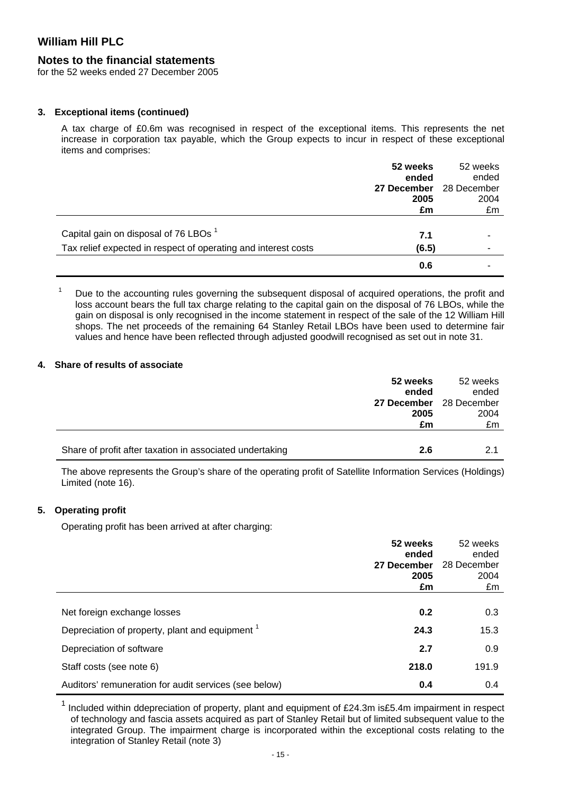### **Notes to the financial statements**

for the 52 weeks ended 27 December 2005

### **3. Exceptional items (continued)**

A tax charge of £0.6m was recognised in respect of the exceptional items. This represents the net increase in corporation tax payable, which the Group expects to incur in respect of these exceptional items and comprises:

|                                                                | 52 weeks    | 52 weeks    |
|----------------------------------------------------------------|-------------|-------------|
|                                                                | ended       | ended       |
|                                                                | 27 December | 28 December |
|                                                                | 2005        | 2004        |
|                                                                | £m          | £m          |
|                                                                |             |             |
| Capital gain on disposal of 76 LBOs <sup>1</sup>               | 7.1         |             |
| Tax relief expected in respect of operating and interest costs | (6.5)       |             |
|                                                                | 0.6         |             |

Due to the accounting rules governing the subsequent disposal of acquired operations, the profit and loss account bears the full tax charge relating to the capital gain on the disposal of 76 LBOs, while the gain on disposal is only recognised in the income statement in respect of the sale of the 12 William Hill shops. The net proceeds of the remaining 64 Stanley Retail LBOs have been used to determine fair values and hence have been reflected through adjusted goodwill recognised as set out in note 31.

### **4. Share of results of associate**

|                                                          | 52 weeks<br>ended | 52 weeks<br>ended       |
|----------------------------------------------------------|-------------------|-------------------------|
|                                                          |                   | 27 December 28 December |
|                                                          | 2005              | 2004                    |
|                                                          | £m                | £m                      |
|                                                          |                   |                         |
| Share of profit after taxation in associated undertaking | 2.6               | 2.1                     |

The above represents the Group's share of the operating profit of Satellite Information Services (Holdings) Limited (note 16).

### **5. Operating profit**

Operating profit has been arrived at after charging:

|                                                            | 52 weeks<br>ended<br>27 December<br>2005<br>£m | 52 weeks<br>ended<br>28 December<br>2004<br>£m |
|------------------------------------------------------------|------------------------------------------------|------------------------------------------------|
| Net foreign exchange losses                                | 0.2                                            | 0.3                                            |
| Depreciation of property, plant and equipment <sup>1</sup> | 24.3                                           | 15.3                                           |
| Depreciation of software                                   | 2.7                                            | 0.9                                            |
| Staff costs (see note 6)                                   | 218.0                                          | 191.9                                          |
| Auditors' remuneration for audit services (see below)      | 0.4                                            | 0.4                                            |

1 Included within ddepreciation of property, plant and equipment of £24.3m is£5.4m impairment in respect of technology and fascia assets acquired as part of Stanley Retail but of limited subsequent value to the integrated Group. The impairment charge is incorporated within the exceptional costs relating to the integration of Stanley Retail (note 3)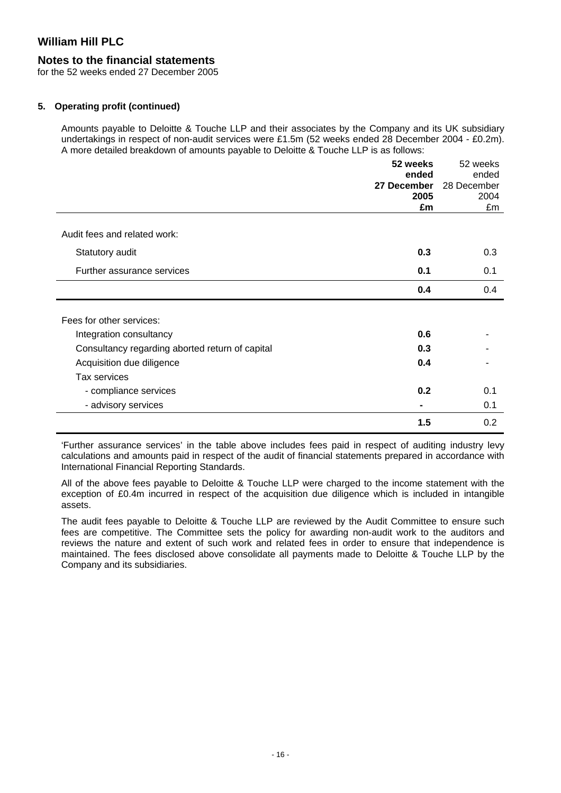### **Notes to the financial statements**

for the 52 weeks ended 27 December 2005

### **5. Operating profit (continued)**

Amounts payable to Deloitte & Touche LLP and their associates by the Company and its UK subsidiary undertakings in respect of non-audit services were £1.5m (52 weeks ended 28 December 2004 - £0.2m). A more detailed breakdown of amounts payable to Deloitte & Touche LLP is as follows:

|                                                 | 52 weeks    | 52 weeks    |
|-------------------------------------------------|-------------|-------------|
|                                                 | ended       | ended       |
|                                                 | 27 December | 28 December |
|                                                 | 2005        | 2004        |
|                                                 | £m          | £m          |
| Audit fees and related work:                    |             |             |
| Statutory audit                                 | 0.3         | 0.3         |
| Further assurance services                      | 0.1         | 0.1         |
|                                                 | 0.4         | 0.4         |
|                                                 |             |             |
| Fees for other services:                        |             |             |
| Integration consultancy                         | 0.6         |             |
| Consultancy regarding aborted return of capital | 0.3         |             |
| Acquisition due diligence                       | 0.4         |             |
| Tax services                                    |             |             |
| - compliance services                           | 0.2         | 0.1         |
| - advisory services                             |             | 0.1         |
|                                                 | 1.5         | 0.2         |

'Further assurance services' in the table above includes fees paid in respect of auditing industry levy calculations and amounts paid in respect of the audit of financial statements prepared in accordance with International Financial Reporting Standards.

All of the above fees payable to Deloitte & Touche LLP were charged to the income statement with the exception of £0.4m incurred in respect of the acquisition due diligence which is included in intangible assets.

The audit fees payable to Deloitte & Touche LLP are reviewed by the Audit Committee to ensure such fees are competitive. The Committee sets the policy for awarding non-audit work to the auditors and reviews the nature and extent of such work and related fees in order to ensure that independence is maintained. The fees disclosed above consolidate all payments made to Deloitte & Touche LLP by the Company and its subsidiaries.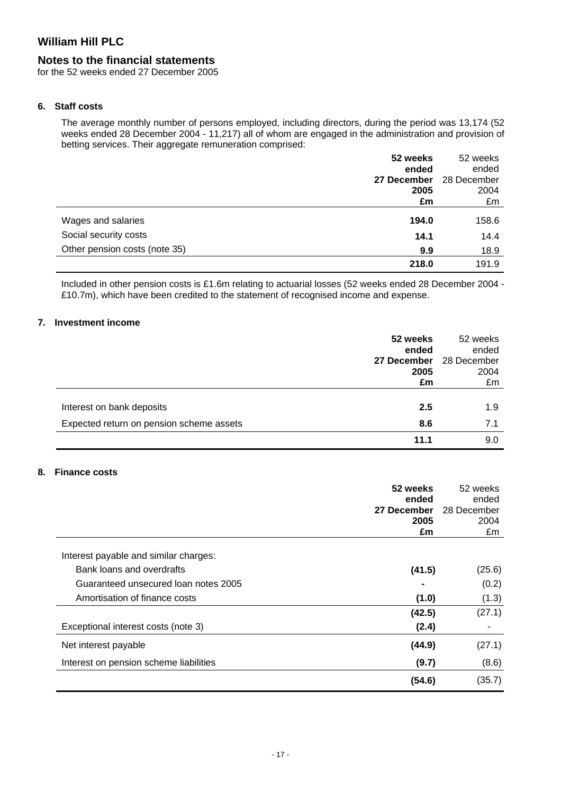### **Notes to the financial statements**

for the 52 weeks ended 27 December 2005

### **6. Staff costs**

The average monthly number of persons employed, including directors, during the period was 13,174 (52 weeks ended 28 December 2004 - 11,217) all of whom are engaged in the administration and provision of betting services. Their aggregate remuneration comprised:

|                               | 52 weeks    | 52 weeks    |
|-------------------------------|-------------|-------------|
|                               | ended       | ended       |
|                               | 27 December | 28 December |
|                               | 2005        | 2004        |
|                               | £m          | £m          |
|                               |             |             |
| Wages and salaries            | 194.0       | 158.6       |
| Social security costs         | 14.1        | 14.4        |
| Other pension costs (note 35) | 9.9         | 18.9        |
|                               | 218.0       | 191.9       |

Included in other pension costs is £1.6m relating to actuarial losses (52 weeks ended 28 December 2004 - £10.7m), which have been credited to the statement of recognised income and expense.

### **7. Investment income**

|                                          | 52 weeks    | 52 weeks    |
|------------------------------------------|-------------|-------------|
|                                          | ended       | ended       |
|                                          | 27 December | 28 December |
|                                          | 2005        | 2004        |
|                                          | £m          | £m          |
|                                          |             |             |
| Interest on bank deposits                | 2.5         | 1.9         |
| Expected return on pension scheme assets | 8.6         | 7.1         |
|                                          | 11.1        | 9.0         |

### **8. Finance costs**

|                                        | 52 weeks<br>ended | 52 weeks<br>ended |
|----------------------------------------|-------------------|-------------------|
|                                        | 27 December       | 28 December       |
|                                        | 2005              | 2004              |
|                                        | £m                | £m                |
| Interest payable and similar charges:  |                   |                   |
| Bank loans and overdrafts              | (41.5)            | (25.6)            |
| Guaranteed unsecured loan notes 2005   |                   | (0.2)             |
| Amortisation of finance costs          | (1.0)             | (1.3)             |
|                                        | (42.5)            | (27.1)            |
| Exceptional interest costs (note 3)    | (2.4)             |                   |
| Net interest payable                   | (44.9)            | (27.1)            |
| Interest on pension scheme liabilities | (9.7)             | (8.6)             |
|                                        | (54.6)            | (35.7)            |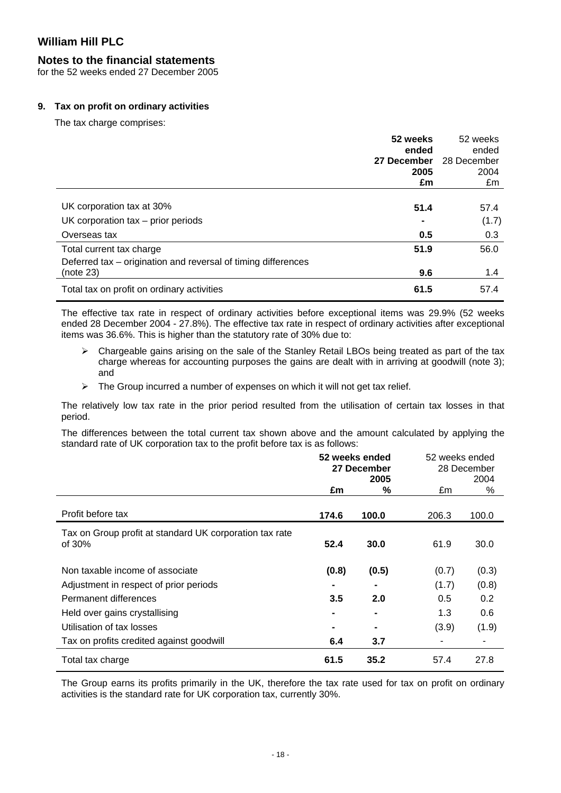### **Notes to the financial statements**

for the 52 weeks ended 27 December 2005

### **9. Tax on profit on ordinary activities**

The tax charge comprises:

|                                                               | 52 weeks    | 52 weeks    |
|---------------------------------------------------------------|-------------|-------------|
|                                                               | ended       | ended       |
|                                                               | 27 December | 28 December |
|                                                               | 2005        | 2004        |
|                                                               | £m          | £m          |
|                                                               |             |             |
| UK corporation tax at 30%                                     | 51.4        | 57.4        |
| UK corporation $tax - prior$ periods                          |             | (1.7)       |
| Overseas tax                                                  | 0.5         | 0.3         |
| Total current tax charge                                      | 51.9        | 56.0        |
| Deferred tax – origination and reversal of timing differences |             |             |
| (note 23)                                                     | 9.6         | 1.4         |
| Total tax on profit on ordinary activities                    | 61.5        | 57.4        |

The effective tax rate in respect of ordinary activities before exceptional items was 29.9% (52 weeks ended 28 December 2004 - 27.8%). The effective tax rate in respect of ordinary activities after exceptional items was 36.6%. This is higher than the statutory rate of 30% due to:

- $\triangleright$  Chargeable gains arising on the sale of the Stanley Retail LBOs being treated as part of the tax charge whereas for accounting purposes the gains are dealt with in arriving at goodwill (note 3); and
- $\triangleright$  The Group incurred a number of expenses on which it will not get tax relief.

The relatively low tax rate in the prior period resulted from the utilisation of certain tax losses in that period.

The differences between the total current tax shown above and the amount calculated by applying the standard rate of UK corporation tax to the profit before tax is as follows:

|                                                                   | 52 weeks ended<br>27 December<br>2005 |       | 52 weeks ended | 28 December<br>2004 |
|-------------------------------------------------------------------|---------------------------------------|-------|----------------|---------------------|
|                                                                   | £m                                    | %     | £m             | %                   |
| Profit before tax                                                 | 174.6                                 | 100.0 | 206.3          | 100.0               |
| Tax on Group profit at standard UK corporation tax rate<br>of 30% | 52.4                                  | 30.0  | 61.9           | 30.0                |
| Non taxable income of associate                                   | (0.8)                                 | (0.5) | (0.7)          | (0.3)               |
| Adjustment in respect of prior periods                            |                                       |       | (1.7)          | (0.8)               |
| Permanent differences                                             | 3.5                                   | 2.0   | 0.5            | 0.2                 |
| Held over gains crystallising                                     |                                       |       | 1.3            | 0.6                 |
| Utilisation of tax losses                                         |                                       |       | (3.9)          | (1.9)               |
| Tax on profits credited against goodwill                          | 6.4                                   | 3.7   |                |                     |
| Total tax charge                                                  | 61.5                                  | 35.2  | 57.4           | 27.8                |

The Group earns its profits primarily in the UK, therefore the tax rate used for tax on profit on ordinary activities is the standard rate for UK corporation tax, currently 30%.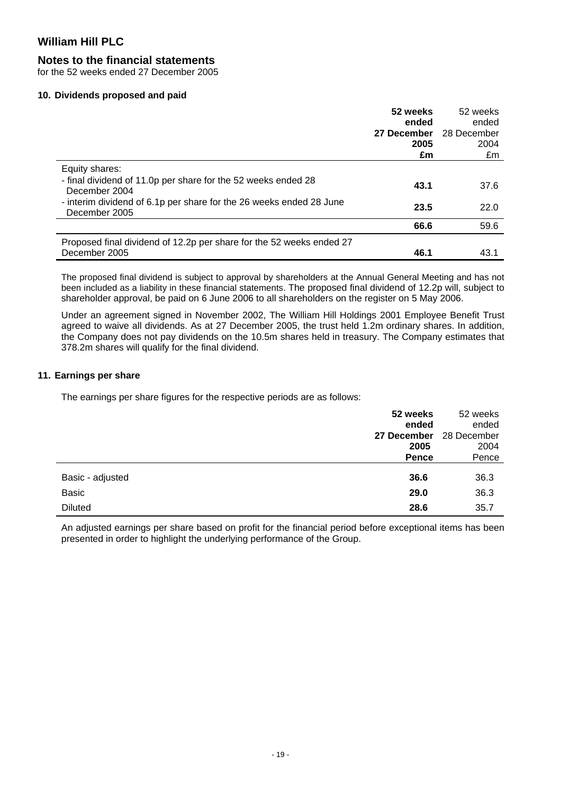### **Notes to the financial statements**

for the 52 weeks ended 27 December 2005

### **10. Dividends proposed and paid**

|                                                                                      | 52 weeks    | 52 weeks    |
|--------------------------------------------------------------------------------------|-------------|-------------|
|                                                                                      | ended       | ended       |
|                                                                                      | 27 December | 28 December |
|                                                                                      | 2005        | 2004        |
|                                                                                      | £m          | £m          |
| Equity shares:                                                                       |             |             |
| - final dividend of 11.0p per share for the 52 weeks ended 28<br>December 2004       | 43.1        | 37.6        |
| - interim dividend of 6.1p per share for the 26 weeks ended 28 June<br>December 2005 | 23.5        | 22.0        |
|                                                                                      | 66.6        | 59.6        |
| Proposed final dividend of 12.2p per share for the 52 weeks ended 27                 |             |             |
| December 2005                                                                        | 46.1        | 43.1        |

The proposed final dividend is subject to approval by shareholders at the Annual General Meeting and has not been included as a liability in these financial statements. The proposed final dividend of 12.2p will, subject to shareholder approval, be paid on 6 June 2006 to all shareholders on the register on 5 May 2006.

Under an agreement signed in November 2002, The William Hill Holdings 2001 Employee Benefit Trust agreed to waive all dividends. As at 27 December 2005, the trust held 1.2m ordinary shares. In addition, the Company does not pay dividends on the 10.5m shares held in treasury. The Company estimates that 378.2m shares will qualify for the final dividend.

### **11. Earnings per share**

The earnings per share figures for the respective periods are as follows:

|                  | 52 weeks     | 52 weeks    |
|------------------|--------------|-------------|
|                  | ended        | ended       |
|                  | 27 December  | 28 December |
|                  | 2005         | 2004        |
|                  | <b>Pence</b> | Pence       |
|                  |              |             |
| Basic - adjusted | 36.6         | 36.3        |
| <b>Basic</b>     | 29.0         | 36.3        |
| <b>Diluted</b>   | 28.6         | 35.7        |

An adjusted earnings per share based on profit for the financial period before exceptional items has been presented in order to highlight the underlying performance of the Group.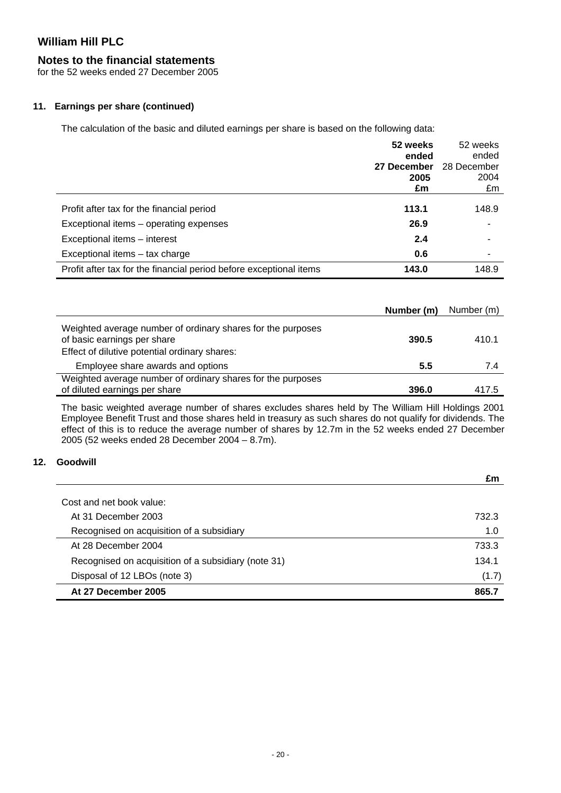### **Notes to the financial statements**

for the 52 weeks ended 27 December 2005

### **11. Earnings per share (continued)**

The calculation of the basic and diluted earnings per share is based on the following data:

|                                                                    | 52 weeks<br>ended | 52 weeks<br>ended |
|--------------------------------------------------------------------|-------------------|-------------------|
|                                                                    | 27 December       | 28 December       |
|                                                                    | 2005              | 2004              |
|                                                                    | £m                | £m                |
| Profit after tax for the financial period                          | 113.1             | 148.9             |
| Exceptional items – operating expenses                             | 26.9              |                   |
| Exceptional items - interest                                       | 2.4               |                   |
| Exceptional items - tax charge                                     | 0.6               |                   |
| Profit after tax for the financial period before exceptional items | 143.0             | 148.9             |

|                                                                                                                                             | Number (m) | Number (m) |
|---------------------------------------------------------------------------------------------------------------------------------------------|------------|------------|
| Weighted average number of ordinary shares for the purposes<br>of basic earnings per share<br>Effect of dilutive potential ordinary shares: | 390.5      | 410.1      |
| Employee share awards and options                                                                                                           | 5.5        | 7.4        |
| Weighted average number of ordinary shares for the purposes<br>of diluted earnings per share                                                | 396.0      | 417.5      |

The basic weighted average number of shares excludes shares held by The William Hill Holdings 2001 Employee Benefit Trust and those shares held in treasury as such shares do not qualify for dividends. The effect of this is to reduce the average number of shares by 12.7m in the 52 weeks ended 27 December 2005 (52 weeks ended 28 December 2004 – 8.7m).

### **12. Goodwill**

|                                                     | £m    |
|-----------------------------------------------------|-------|
|                                                     |       |
| Cost and net book value:                            |       |
| At 31 December 2003                                 | 732.3 |
| Recognised on acquisition of a subsidiary           | 1.0   |
| At 28 December 2004                                 | 733.3 |
| Recognised on acquisition of a subsidiary (note 31) | 134.1 |
| Disposal of 12 LBOs (note 3)                        | (1.7) |
| At 27 December 2005                                 | 865.7 |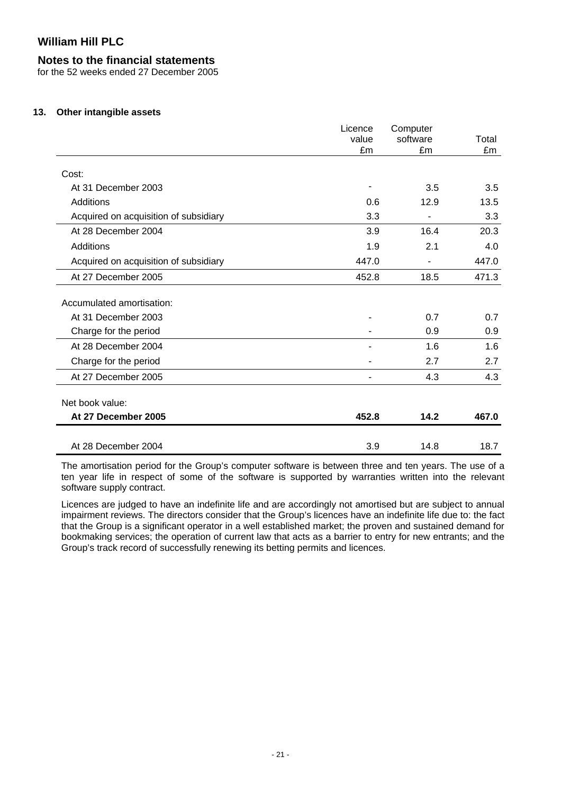### **Notes to the financial statements**

for the 52 weeks ended 27 December 2005

### **13. Other intangible assets**

|                                       | Licence<br>value | Computer |       |
|---------------------------------------|------------------|----------|-------|
|                                       |                  | software | Total |
|                                       | £m               | £m       | £m    |
| Cost:                                 |                  |          |       |
| At 31 December 2003                   |                  | 3.5      | 3.5   |
| Additions                             | 0.6              | 12.9     | 13.5  |
| Acquired on acquisition of subsidiary | 3.3              | ۰        | 3.3   |
| At 28 December 2004                   | 3.9              | 16.4     | 20.3  |
| Additions                             | 1.9              | 2.1      | 4.0   |
| Acquired on acquisition of subsidiary | 447.0            |          | 447.0 |
| At 27 December 2005                   | 452.8            | 18.5     | 471.3 |
| Accumulated amortisation:             |                  |          |       |
| At 31 December 2003                   |                  | 0.7      | 0.7   |
| Charge for the period                 |                  | 0.9      | 0.9   |
| At 28 December 2004                   |                  | 1.6      | 1.6   |
| Charge for the period                 |                  | 2.7      | 2.7   |
| At 27 December 2005                   | $\blacksquare$   | 4.3      | 4.3   |
| Net book value:                       |                  |          |       |
| At 27 December 2005                   | 452.8            | 14.2     | 467.0 |
| At 28 December 2004                   | 3.9              | 14.8     | 18.7  |

The amortisation period for the Group's computer software is between three and ten years. The use of a ten year life in respect of some of the software is supported by warranties written into the relevant software supply contract.

Licences are judged to have an indefinite life and are accordingly not amortised but are subject to annual impairment reviews. The directors consider that the Group's licences have an indefinite life due to: the fact that the Group is a significant operator in a well established market; the proven and sustained demand for bookmaking services; the operation of current law that acts as a barrier to entry for new entrants; and the Group's track record of successfully renewing its betting permits and licences.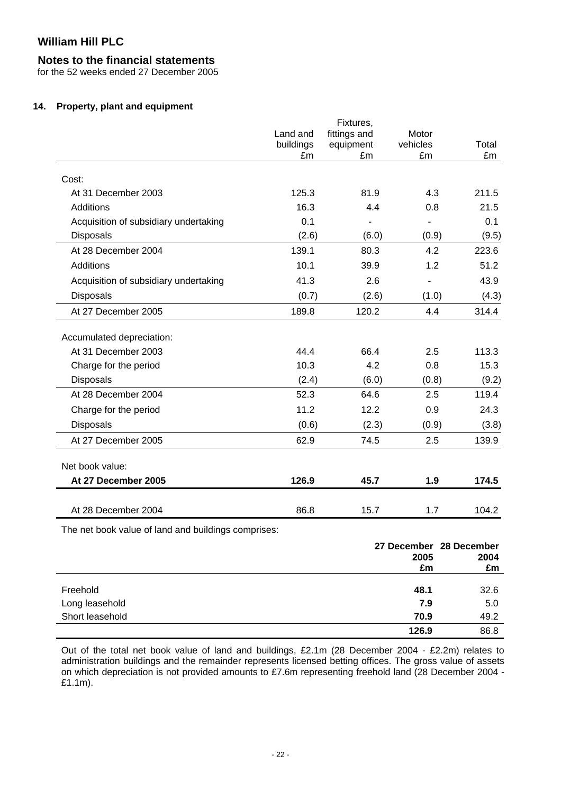# **Notes to the financial statements**

for the 52 weeks ended 27 December 2005

# **14. Property, plant and equipment**

|          | Fixtures,       |                                         |                       |
|----------|-----------------|-----------------------------------------|-----------------------|
| Land and |                 | Motor                                   |                       |
|          |                 |                                         | Total<br>£m           |
|          |                 |                                         |                       |
|          |                 |                                         |                       |
| 125.3    | 81.9            | 4.3                                     | 211.5                 |
| 16.3     | 4.4             | 0.8                                     | 21.5                  |
| 0.1      |                 |                                         | 0.1                   |
| (2.6)    | (6.0)           | (0.9)                                   | (9.5)                 |
| 139.1    | 80.3            | 4.2                                     | 223.6                 |
| 10.1     | 39.9            | 1.2                                     | 51.2                  |
| 41.3     | 2.6             |                                         | 43.9                  |
| (0.7)    | (2.6)           | (1.0)                                   | (4.3)                 |
| 189.8    | 120.2           | 4.4                                     | 314.4                 |
|          |                 |                                         |                       |
| 44.4     | 66.4            | 2.5                                     | 113.3                 |
| 10.3     | 4.2             | 0.8                                     | 15.3                  |
| (2.4)    | (6.0)           | (0.8)                                   | (9.2)                 |
| 52.3     | 64.6            | 2.5                                     | 119.4                 |
| 11.2     | 12.2            | 0.9                                     | 24.3                  |
| (0.6)    | (2.3)           | (0.9)                                   | (3.8)                 |
| 62.9     | 74.5            | 2.5                                     | 139.9                 |
|          |                 |                                         |                       |
| 126.9    |                 |                                         | 174.5                 |
|          |                 |                                         |                       |
| 86.8     | 15.7            | 1.7                                     | 104.2                 |
|          | buildings<br>£m | fittings and<br>equipment<br>£m<br>45.7 | vehicles<br>£m<br>1.9 |

**27 December 28 December 2005 2004 £m £m** Freehold **48.1** 32.6 Long leasehold **7.9** 5.0 Short leasehold **70.9** 49.2  **126.9** 86.8

Out of the total net book value of land and buildings, £2.1m (28 December 2004 - £2.2m) relates to administration buildings and the remainder represents licensed betting offices. The gross value of assets on which depreciation is not provided amounts to £7.6m representing freehold land (28 December 2004 - £1.1m).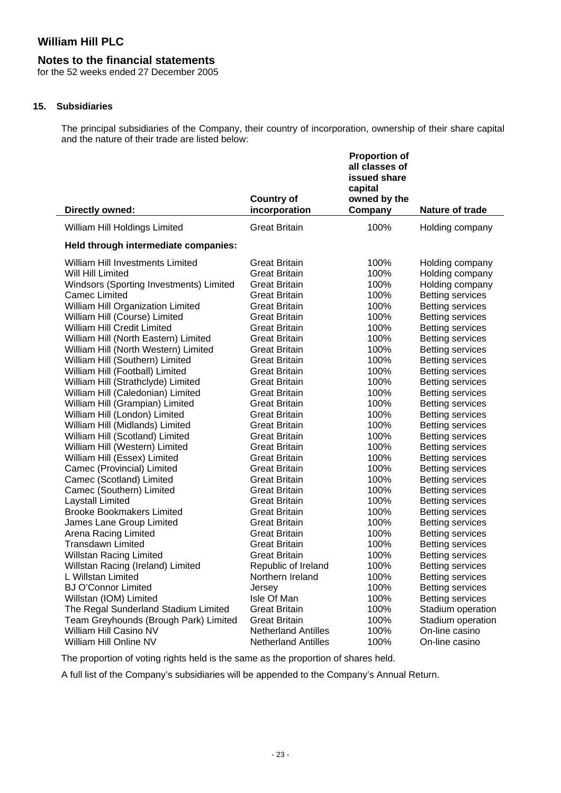### **Notes to the financial statements**

for the 52 weeks ended 27 December 2005

#### **15. Subsidiaries**

The principal subsidiaries of the Company, their country of incorporation, ownership of their share capital and the nature of their trade are listed below:

|                                                                                    | <b>Country of</b>                                                    | <b>Proportion of</b><br>all classes of<br>issued share<br>capital<br>owned by the | <b>Nature of trade</b>                                                        |
|------------------------------------------------------------------------------------|----------------------------------------------------------------------|-----------------------------------------------------------------------------------|-------------------------------------------------------------------------------|
| Directly owned:                                                                    | incorporation                                                        | Company                                                                           |                                                                               |
| William Hill Holdings Limited                                                      | <b>Great Britain</b>                                                 | 100%                                                                              | Holding company                                                               |
| Held through intermediate companies:                                               |                                                                      |                                                                                   |                                                                               |
| William Hill Investments Limited                                                   | <b>Great Britain</b>                                                 | 100%                                                                              | Holding company                                                               |
| Will Hill Limited                                                                  | <b>Great Britain</b>                                                 | 100%                                                                              | Holding company                                                               |
| Windsors (Sporting Investments) Limited                                            | <b>Great Britain</b>                                                 | 100%                                                                              | Holding company                                                               |
| <b>Camec Limited</b>                                                               | <b>Great Britain</b>                                                 | 100%                                                                              | <b>Betting services</b>                                                       |
| William Hill Organization Limited                                                  | <b>Great Britain</b>                                                 | 100%                                                                              | <b>Betting services</b>                                                       |
| William Hill (Course) Limited                                                      | <b>Great Britain</b>                                                 | 100%                                                                              | <b>Betting services</b>                                                       |
| William Hill Credit Limited                                                        | <b>Great Britain</b>                                                 | 100%                                                                              | <b>Betting services</b>                                                       |
| William Hill (North Eastern) Limited                                               | <b>Great Britain</b>                                                 | 100%                                                                              | <b>Betting services</b>                                                       |
| William Hill (North Western) Limited                                               | <b>Great Britain</b>                                                 | 100%                                                                              | <b>Betting services</b>                                                       |
| William Hill (Southern) Limited                                                    | <b>Great Britain</b>                                                 | 100%                                                                              | <b>Betting services</b>                                                       |
| William Hill (Football) Limited                                                    | <b>Great Britain</b>                                                 | 100%                                                                              | <b>Betting services</b>                                                       |
| William Hill (Strathclyde) Limited                                                 | <b>Great Britain</b>                                                 | 100%                                                                              | <b>Betting services</b>                                                       |
| William Hill (Caledonian) Limited                                                  | <b>Great Britain</b>                                                 | 100%                                                                              | <b>Betting services</b>                                                       |
| William Hill (Grampian) Limited                                                    | <b>Great Britain</b>                                                 | 100%                                                                              | <b>Betting services</b>                                                       |
| William Hill (London) Limited                                                      | <b>Great Britain</b>                                                 | 100%                                                                              | <b>Betting services</b>                                                       |
| William Hill (Midlands) Limited                                                    | <b>Great Britain</b>                                                 | 100%                                                                              | <b>Betting services</b>                                                       |
| William Hill (Scotland) Limited                                                    | <b>Great Britain</b>                                                 | 100%                                                                              | <b>Betting services</b>                                                       |
| William Hill (Western) Limited<br>William Hill (Essex) Limited                     | <b>Great Britain</b><br><b>Great Britain</b><br><b>Great Britain</b> | 100%<br>100%                                                                      | <b>Betting services</b><br><b>Betting services</b>                            |
| Camec (Provincial) Limited<br>Camec (Scotland) Limited<br>Camec (Southern) Limited | <b>Great Britain</b><br><b>Great Britain</b>                         | 100%<br>100%<br>100%                                                              | <b>Betting services</b><br><b>Betting services</b><br><b>Betting services</b> |
| Laystall Limited                                                                   | <b>Great Britain</b>                                                 | 100%                                                                              | <b>Betting services</b>                                                       |
| <b>Brooke Bookmakers Limited</b>                                                   | <b>Great Britain</b>                                                 | 100%                                                                              | <b>Betting services</b>                                                       |
| James Lane Group Limited                                                           | <b>Great Britain</b>                                                 | 100%                                                                              | <b>Betting services</b>                                                       |
| Arena Racing Limited                                                               | <b>Great Britain</b>                                                 | 100%                                                                              | <b>Betting services</b>                                                       |
| <b>Transdawn Limited</b>                                                           | <b>Great Britain</b>                                                 | 100%                                                                              | <b>Betting services</b>                                                       |
| Willstan Racing Limited                                                            | <b>Great Britain</b>                                                 | 100%                                                                              | <b>Betting services</b>                                                       |
| Willstan Racing (Ireland) Limited                                                  | Republic of Ireland                                                  | 100%                                                                              | <b>Betting services</b>                                                       |
| L Willstan Limited                                                                 | Northern Ireland                                                     | 100%                                                                              | Betting services                                                              |
| <b>BJ O'Connor Limited</b>                                                         | Jersey                                                               | 100%                                                                              | <b>Betting services</b>                                                       |
| Willstan (IOM) Limited                                                             | Isle Of Man                                                          | 100%                                                                              | <b>Betting services</b>                                                       |
| The Regal Sunderland Stadium Limited                                               | <b>Great Britain</b>                                                 | 100%                                                                              | Stadium operation                                                             |
| Team Greyhounds (Brough Park) Limited                                              | <b>Great Britain</b>                                                 | 100%                                                                              | Stadium operation                                                             |
| William Hill Casino NV                                                             | <b>Netherland Antilles</b>                                           | 100%                                                                              | On-line casino                                                                |
| William Hill Online NV                                                             | <b>Netherland Antilles</b>                                           | 100%                                                                              | On-line casino                                                                |

The proportion of voting rights held is the same as the proportion of shares held.

A full list of the Company's subsidiaries will be appended to the Company's Annual Return.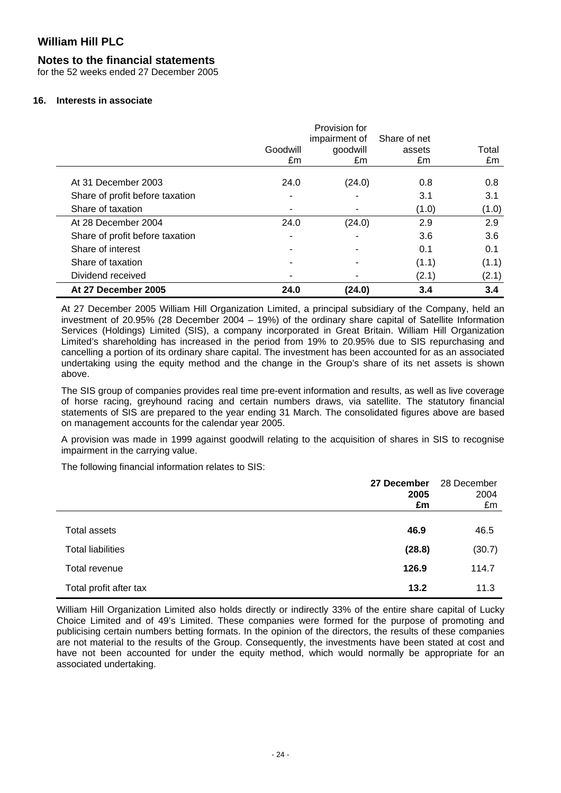### **Notes to the financial statements**

for the 52 weeks ended 27 December 2005

### **16. Interests in associate**

|                                 | Goodwill<br>£m | Provision for<br>impairment of<br>goodwill<br>£m | Share of net<br>assets<br>£m | Total<br>£m |
|---------------------------------|----------------|--------------------------------------------------|------------------------------|-------------|
| At 31 December 2003             | 24.0           | (24.0)                                           | 0.8                          | 0.8         |
| Share of profit before taxation |                |                                                  | 3.1                          | 3.1         |
| Share of taxation               |                |                                                  | (1.0)                        | (1.0)       |
| At 28 December 2004             | 24.0           | (24.0)                                           | 2.9                          | 2.9         |
| Share of profit before taxation |                |                                                  | 3.6                          | 3.6         |
| Share of interest               |                |                                                  | 0.1                          | 0.1         |
| Share of taxation               |                |                                                  | (1.1)                        | (1.1)       |
| Dividend received               |                |                                                  | (2.1)                        | (2.1)       |
| At 27 December 2005             | 24.0           | (24.0)                                           | 3.4                          | 3.4         |

At 27 December 2005 William Hill Organization Limited, a principal subsidiary of the Company, held an investment of 20.95% (28 December 2004 – 19%) of the ordinary share capital of Satellite Information Services (Holdings) Limited (SIS), a company incorporated in Great Britain. William Hill Organization Limited's shareholding has increased in the period from 19% to 20.95% due to SIS repurchasing and cancelling a portion of its ordinary share capital. The investment has been accounted for as an associated undertaking using the equity method and the change in the Group's share of its net assets is shown above.

The SIS group of companies provides real time pre-event information and results, as well as live coverage of horse racing, greyhound racing and certain numbers draws, via satellite. The statutory financial statements of SIS are prepared to the year ending 31 March. The consolidated figures above are based on management accounts for the calendar year 2005.

A provision was made in 1999 against goodwill relating to the acquisition of shares in SIS to recognise impairment in the carrying value.

The following financial information relates to SIS:

|                          | 27 December<br>2005 | 28 December<br>2004 |
|--------------------------|---------------------|---------------------|
|                          | £m                  | £m                  |
|                          |                     |                     |
| Total assets             | 46.9                | 46.5                |
| <b>Total liabilities</b> | (28.8)              | (30.7)              |
| Total revenue            | 126.9               | 114.7               |
| Total profit after tax   | 13.2                | 11.3                |

William Hill Organization Limited also holds directly or indirectly 33% of the entire share capital of Lucky Choice Limited and of 49's Limited. These companies were formed for the purpose of promoting and publicising certain numbers betting formats. In the opinion of the directors, the results of these companies are not material to the results of the Group. Consequently, the investments have been stated at cost and have not been accounted for under the equity method, which would normally be appropriate for an associated undertaking.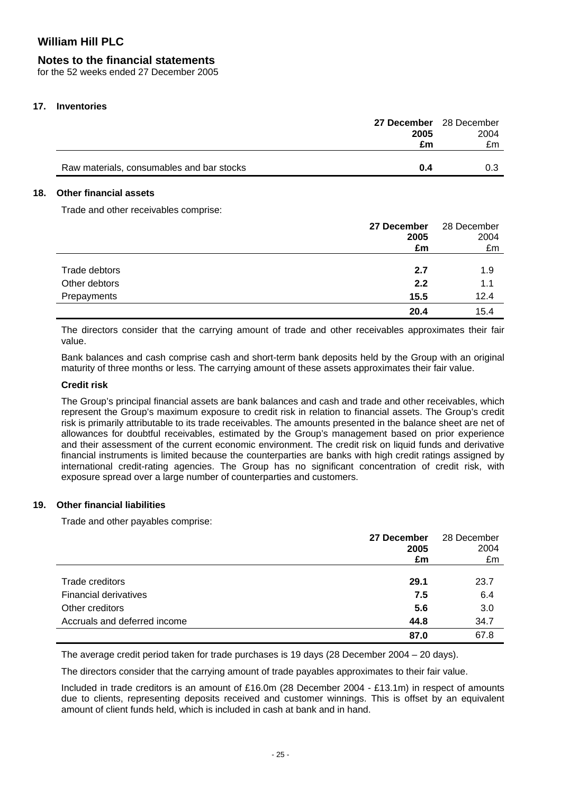### **Notes to the financial statements**

for the 52 weeks ended 27 December 2005

#### **17. Inventories**

| 27 December 28 December                          |      |
|--------------------------------------------------|------|
| 2005                                             | 2004 |
| £m                                               | £m   |
|                                                  |      |
| Raw materials, consumables and bar stocks<br>0.4 | 0.3  |

#### **18. Other financial assets**

Trade and other receivables comprise:

|               | 27 December<br>2005 | 28 December<br>2004 |
|---------------|---------------------|---------------------|
|               | £m                  | £m                  |
| Trade debtors | 2.7                 | 1.9                 |
| Other debtors | 2.2                 | 1.1                 |
| Prepayments   | 15.5                | 12.4                |
|               | 20.4                | 15.4                |

The directors consider that the carrying amount of trade and other receivables approximates their fair value.

Bank balances and cash comprise cash and short-term bank deposits held by the Group with an original maturity of three months or less. The carrying amount of these assets approximates their fair value.

#### **Credit risk**

The Group's principal financial assets are bank balances and cash and trade and other receivables, which represent the Group's maximum exposure to credit risk in relation to financial assets. The Group's credit risk is primarily attributable to its trade receivables. The amounts presented in the balance sheet are net of allowances for doubtful receivables, estimated by the Group's management based on prior experience and their assessment of the current economic environment. The credit risk on liquid funds and derivative financial instruments is limited because the counterparties are banks with high credit ratings assigned by international credit-rating agencies. The Group has no significant concentration of credit risk, with exposure spread over a large number of counterparties and customers.

#### **19. Other financial liabilities**

Trade and other payables comprise:

|                              | 27 December<br>2005<br>£m | 28 December<br>2004<br>£m |
|------------------------------|---------------------------|---------------------------|
|                              |                           |                           |
| Trade creditors              | 29.1                      | 23.7                      |
| <b>Financial derivatives</b> | 7.5                       | 6.4                       |
| Other creditors              | 5.6                       | 3.0                       |
| Accruals and deferred income | 44.8                      | 34.7                      |
|                              | 87.0                      | 67.8                      |

The average credit period taken for trade purchases is 19 days (28 December 2004 – 20 days).

The directors consider that the carrying amount of trade payables approximates to their fair value.

Included in trade creditors is an amount of £16.0m (28 December 2004 - £13.1m) in respect of amounts due to clients, representing deposits received and customer winnings. This is offset by an equivalent amount of client funds held, which is included in cash at bank and in hand.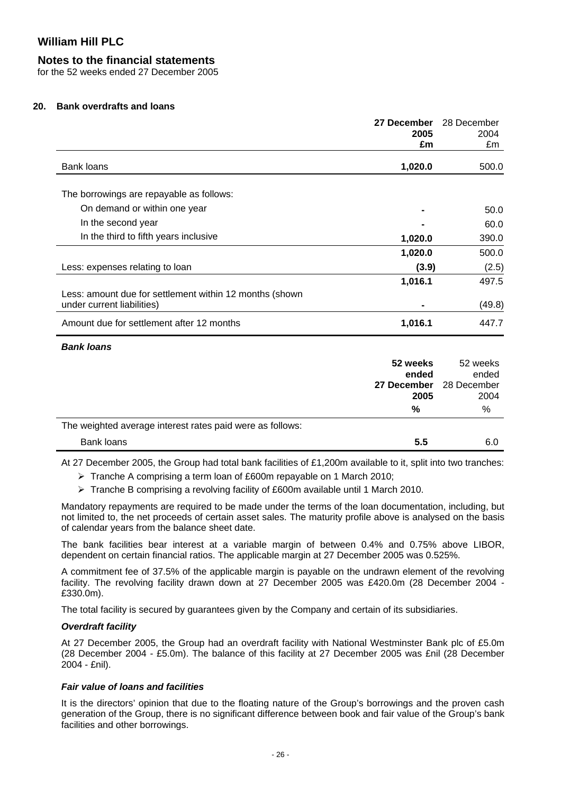# **Notes to the financial statements**

for the 52 weeks ended 27 December 2005

# **20. Bank overdrafts and loans**

|                                                                                       | 27 December<br>2005<br>£m | 28 December<br>2004<br>£m |
|---------------------------------------------------------------------------------------|---------------------------|---------------------------|
| <b>Bank loans</b>                                                                     | 1,020.0                   | 500.0                     |
| The borrowings are repayable as follows:                                              |                           |                           |
| On demand or within one year                                                          |                           | 50.0                      |
| In the second year                                                                    |                           | 60.0                      |
| In the third to fifth years inclusive                                                 | 1,020.0                   | 390.0                     |
|                                                                                       | 1,020.0                   | 500.0                     |
| Less: expenses relating to loan                                                       | (3.9)                     | (2.5)                     |
|                                                                                       | 1,016.1                   | 497.5                     |
| Less: amount due for settlement within 12 months (shown<br>under current liabilities) |                           | (49.8)                    |
| Amount due for settlement after 12 months                                             | 1,016.1                   | 447.7                     |
| <b>Bank loans</b>                                                                     |                           |                           |

|                                                           | 52 weeks<br>ended<br>27 December<br>2005<br>% | 52 weeks<br>ended<br>28 December<br>2004<br>% |
|-----------------------------------------------------------|-----------------------------------------------|-----------------------------------------------|
| The weighted average interest rates paid were as follows: |                                               |                                               |
| <b>Bank loans</b>                                         | 5.5                                           | 6.0                                           |

At 27 December 2005, the Group had total bank facilities of £1,200m available to it, split into two tranches:

- ¾ Tranche A comprising a term loan of £600m repayable on 1 March 2010;
- ¾ Tranche B comprising a revolving facility of £600m available until 1 March 2010.

Mandatory repayments are required to be made under the terms of the loan documentation, including, but not limited to, the net proceeds of certain asset sales. The maturity profile above is analysed on the basis of calendar years from the balance sheet date.

The bank facilities bear interest at a variable margin of between 0.4% and 0.75% above LIBOR, dependent on certain financial ratios. The applicable margin at 27 December 2005 was 0.525%.

A commitment fee of 37.5% of the applicable margin is payable on the undrawn element of the revolving facility. The revolving facility drawn down at 27 December 2005 was £420.0m (28 December 2004 - £330.0m).

The total facility is secured by guarantees given by the Company and certain of its subsidiaries.

### *Overdraft facility*

At 27 December 2005, the Group had an overdraft facility with National Westminster Bank plc of £5.0m (28 December 2004 - £5.0m). The balance of this facility at 27 December 2005 was £nil (28 December 2004 - £nil).

### *Fair value of loans and facilities*

It is the directors' opinion that due to the floating nature of the Group's borrowings and the proven cash generation of the Group, there is no significant difference between book and fair value of the Group's bank facilities and other borrowings.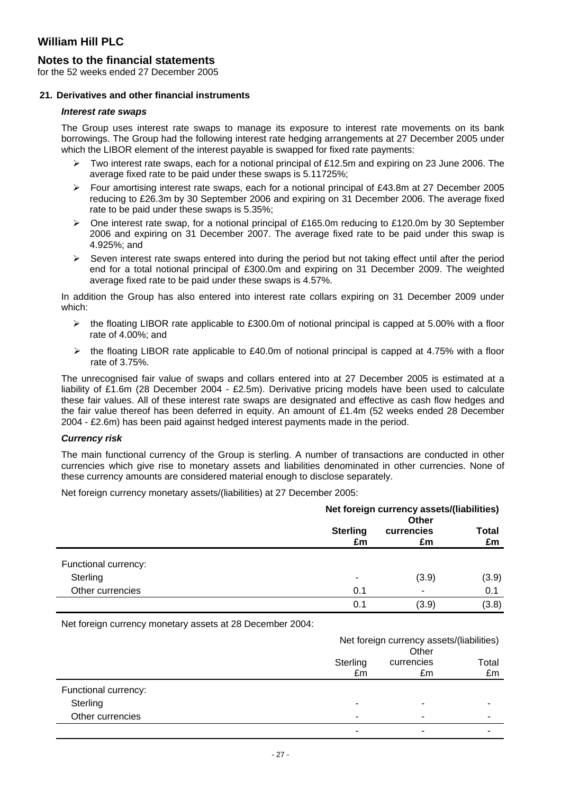### **Notes to the financial statements**

for the 52 weeks ended 27 December 2005

#### **21. Derivatives and other financial instruments**

#### *Interest rate swaps*

The Group uses interest rate swaps to manage its exposure to interest rate movements on its bank borrowings. The Group had the following interest rate hedging arrangements at 27 December 2005 under which the LIBOR element of the interest payable is swapped for fixed rate payments:

- Two interest rate swaps, each for a notional principal of £12.5m and expiring on 23 June 2006. The average fixed rate to be paid under these swaps is 5.11725%;
- $\triangleright$  Four amortising interest rate swaps, each for a notional principal of £43.8m at 27 December 2005 reducing to £26.3m by 30 September 2006 and expiring on 31 December 2006. The average fixed rate to be paid under these swaps is 5.35%;
- $\triangleright$  One interest rate swap, for a notional principal of £165.0m reducing to £120.0m by 30 September 2006 and expiring on 31 December 2007. The average fixed rate to be paid under this swap is 4.925%; and
- $\triangleright$  Seven interest rate swaps entered into during the period but not taking effect until after the period end for a total notional principal of £300.0m and expiring on 31 December 2009. The weighted average fixed rate to be paid under these swaps is 4.57%.

In addition the Group has also entered into interest rate collars expiring on 31 December 2009 under which:

- ¾ the floating LIBOR rate applicable to £300.0m of notional principal is capped at 5.00% with a floor rate of 4.00%; and
- $\triangleright$  the floating LIBOR rate applicable to £40.0m of notional principal is capped at 4.75% with a floor rate of 3.75%.

The unrecognised fair value of swaps and collars entered into at 27 December 2005 is estimated at a liability of £1.6m (28 December 2004 - £2.5m). Derivative pricing models have been used to calculate these fair values. All of these interest rate swaps are designated and effective as cash flow hedges and the fair value thereof has been deferred in equity. An amount of £1.4m (52 weeks ended 28 December 2004 - £2.6m) has been paid against hedged interest payments made in the period.

#### *Currency risk*

The main functional currency of the Group is sterling. A number of transactions are conducted in other currencies which give rise to monetary assets and liabilities denominated in other currencies. None of these currency amounts are considered material enough to disclose separately.

Net foreign currency monetary assets/(liabilities) at 27 December 2005:

|                      | Net foreign currency assets/(liabilities)<br>Other |                  |             |
|----------------------|----------------------------------------------------|------------------|-------------|
|                      | <b>Sterling</b><br>£m                              | currencies<br>£m | Total<br>£m |
| Functional currency: |                                                    |                  |             |
| Sterling             |                                                    | (3.9)            | (3.9)       |
| Other currencies     | 0.1                                                |                  | 0.1         |
|                      | 0.1                                                | (3.9)            | (3.8)       |

Net foreign currency monetary assets at 28 December 2004:

|                      |          | Net foreign currency assets/(liabilities)<br>Other |       |  |
|----------------------|----------|----------------------------------------------------|-------|--|
|                      | Sterling | currencies                                         | Total |  |
|                      | £m       | £m                                                 | £m    |  |
| Functional currency: |          |                                                    |       |  |
| Sterling             |          |                                                    |       |  |
| Other currencies     |          |                                                    |       |  |
|                      |          |                                                    |       |  |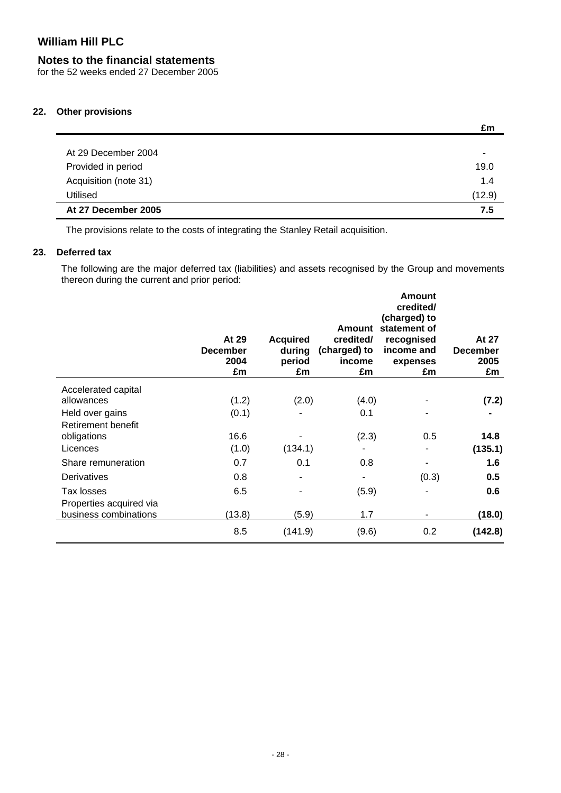### **Notes to the financial statements**

for the 52 weeks ended 27 December 2005

### **22. Other provisions**

|                       | £m     |
|-----------------------|--------|
|                       |        |
| At 29 December 2004   |        |
| Provided in period    | 19.0   |
| Acquisition (note 31) | 1.4    |
| Utilised              | (12.9) |
| At 27 December 2005   | 7.5    |

The provisions relate to the costs of integrating the Stanley Retail acquisition.

#### **23. Deferred tax**

The following are the major deferred tax (liabilities) and assets recognised by the Group and movements thereon during the current and prior period:

|                                                  | At 29<br><b>December</b><br>2004<br>£m | <b>Acquired</b><br>during<br>period<br>£m | Amount<br>credited/<br>(charged) to<br>income<br>£m | Amount<br>credited/<br>(charged) to<br>statement of<br>recognised<br>income and<br>expenses<br>£m | At 27<br><b>December</b><br>2005<br>£m |
|--------------------------------------------------|----------------------------------------|-------------------------------------------|-----------------------------------------------------|---------------------------------------------------------------------------------------------------|----------------------------------------|
| Accelerated capital                              |                                        |                                           |                                                     |                                                                                                   |                                        |
| allowances                                       | (1.2)                                  | (2.0)                                     | (4.0)                                               |                                                                                                   | (7.2)                                  |
| Held over gains                                  | (0.1)                                  |                                           | 0.1                                                 |                                                                                                   |                                        |
| <b>Retirement benefit</b>                        |                                        |                                           |                                                     |                                                                                                   |                                        |
| obligations                                      | 16.6                                   |                                           | (2.3)                                               | 0.5                                                                                               | 14.8                                   |
| Licences                                         | (1.0)                                  | (134.1)                                   |                                                     |                                                                                                   | (135.1)                                |
| Share remuneration                               | 0.7                                    | 0.1                                       | 0.8                                                 |                                                                                                   | 1.6                                    |
| Derivatives                                      | 0.8                                    |                                           |                                                     | (0.3)                                                                                             | 0.5                                    |
| Tax losses                                       | 6.5                                    |                                           | (5.9)                                               |                                                                                                   | 0.6                                    |
| Properties acquired via<br>business combinations | (13.8)                                 | (5.9)                                     | 1.7                                                 |                                                                                                   | (18.0)                                 |
|                                                  | 8.5                                    | (141.9)                                   | (9.6)                                               | 0.2                                                                                               | (142.8)                                |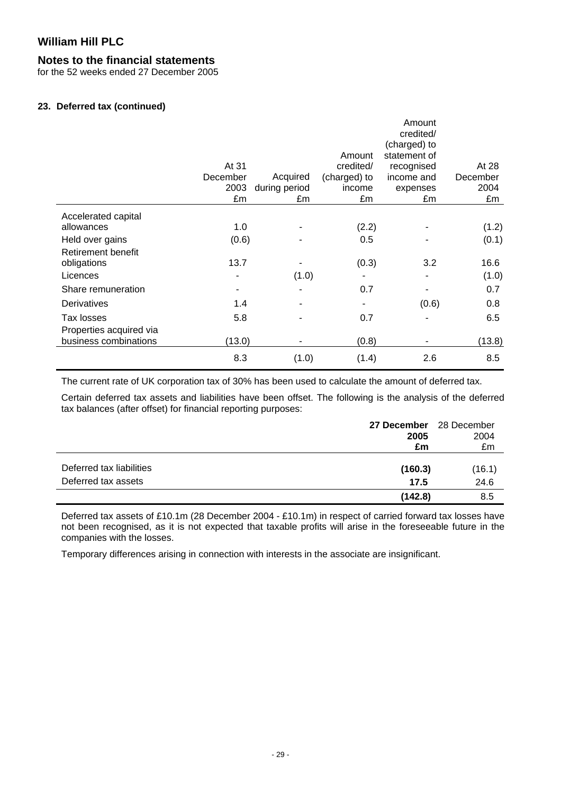# **Notes to the financial statements**

for the 52 weeks ended 27 December 2005

# **23. Deferred tax (continued)**

|                         |          |               |              | Amount<br>credited/<br>(charged) to |          |
|-------------------------|----------|---------------|--------------|-------------------------------------|----------|
|                         |          |               | Amount       | statement of                        |          |
|                         | At 31    |               | credited/    | recognised                          | At 28    |
|                         | December | Acquired      | (charged) to | income and                          | December |
|                         | 2003     | during period | income       | expenses                            | 2004     |
|                         | £m       | £m            | £m           | £m                                  | £m       |
| Accelerated capital     |          |               |              |                                     |          |
| allowances              | 1.0      |               | (2.2)        |                                     | (1.2)    |
| Held over gains         | (0.6)    |               | 0.5          |                                     | (0.1)    |
| Retirement benefit      |          |               |              |                                     |          |
| obligations             | 13.7     |               | (0.3)        | 3.2                                 | 16.6     |
| Licences                |          | (1.0)         |              |                                     | (1.0)    |
| Share remuneration      | ۰        |               | 0.7          |                                     | 0.7      |
| Derivatives             | 1.4      |               |              | (0.6)                               | 0.8      |
| Tax losses              | 5.8      |               | 0.7          |                                     | 6.5      |
| Properties acquired via |          |               |              |                                     |          |
| business combinations   | (13.0)   |               | (0.8)        |                                     | (13.8)   |
|                         | 8.3      | (1.0)         | (1.4)        | 2.6                                 | 8.5      |

The current rate of UK corporation tax of 30% has been used to calculate the amount of deferred tax.

Certain deferred tax assets and liabilities have been offset. The following is the analysis of the deferred tax balances (after offset) for financial reporting purposes:

|                                                 | 27 December 28 December<br>2005<br>£m | 2004<br>£m     |
|-------------------------------------------------|---------------------------------------|----------------|
| Deferred tax liabilities<br>Deferred tax assets | (160.3)<br>17.5                       | (16.1)<br>24.6 |
|                                                 | (142.8)                               | 8.5            |

Deferred tax assets of £10.1m (28 December 2004 - £10.1m) in respect of carried forward tax losses have not been recognised, as it is not expected that taxable profits will arise in the foreseeable future in the companies with the losses.

Temporary differences arising in connection with interests in the associate are insignificant.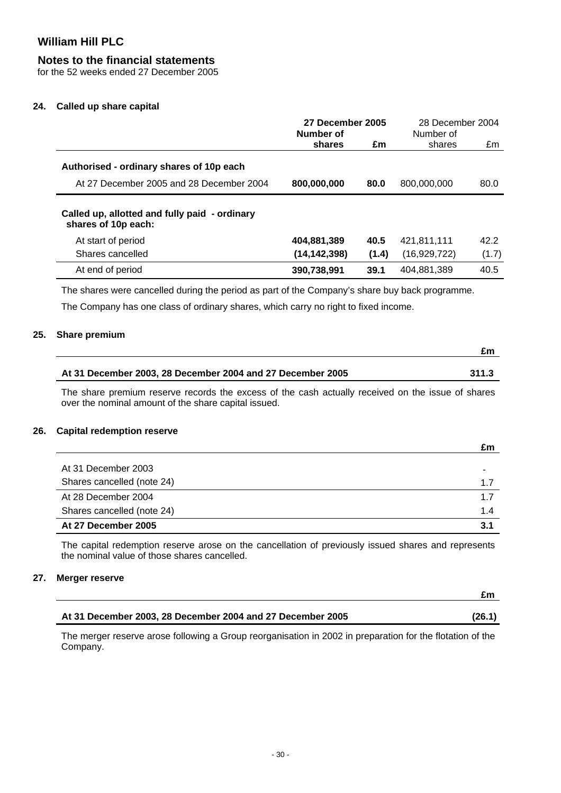### **Notes to the financial statements**

for the 52 weeks ended 27 December 2005

#### **24. Called up share capital**

|                                                                      | 27 December 2005<br>Number of |       | 28 December 2004<br>Number of |       |
|----------------------------------------------------------------------|-------------------------------|-------|-------------------------------|-------|
|                                                                      | shares                        | £m    | shares                        | £m    |
| Authorised - ordinary shares of 10p each                             |                               |       |                               |       |
| At 27 December 2005 and 28 December 2004                             | 800,000,000                   | 80.0  | 800,000,000                   | 80.0  |
| Called up, allotted and fully paid - ordinary<br>shares of 10p each: |                               |       |                               |       |
| At start of period                                                   | 404.881.389                   | 40.5  | 421.811.111                   | 42.2  |
| Shares cancelled                                                     | (14, 142, 398)                | (1.4) | (16,929,722)                  | (1.7) |
| At end of period                                                     | 390,738,991                   | 39.1  | 404,881,389                   | 40.5  |

The shares were cancelled during the period as part of the Company's share buy back programme.

The Company has one class of ordinary shares, which carry no right to fixed income.

### **25. Share premium**

|                                                                                                                                                           | £m    |
|-----------------------------------------------------------------------------------------------------------------------------------------------------------|-------|
| At 31 December 2003, 28 December 2004 and 27 December 2005                                                                                                | 311.3 |
| The share premium reserve records the excess of the cash actually received on the issue of shares<br>over the nominal amount of the share capital issued. |       |

#### **26. Capital redemption reserve**

|                            | £m  |
|----------------------------|-----|
|                            |     |
| At 31 December 2003        |     |
| Shares cancelled (note 24) | 1.7 |
| At 28 December 2004        | 1.7 |
| Shares cancelled (note 24) | 1.4 |
| At 27 December 2005        | 3.1 |

The capital redemption reserve arose on the cancellation of previously issued shares and represents the nominal value of those shares cancelled.

#### **27. Merger reserve**

| At 31 December 2003, 28 December 2004 and 27 December 2005 | (26.1) |
|------------------------------------------------------------|--------|

The merger reserve arose following a Group reorganisation in 2002 in preparation for the flotation of the Company.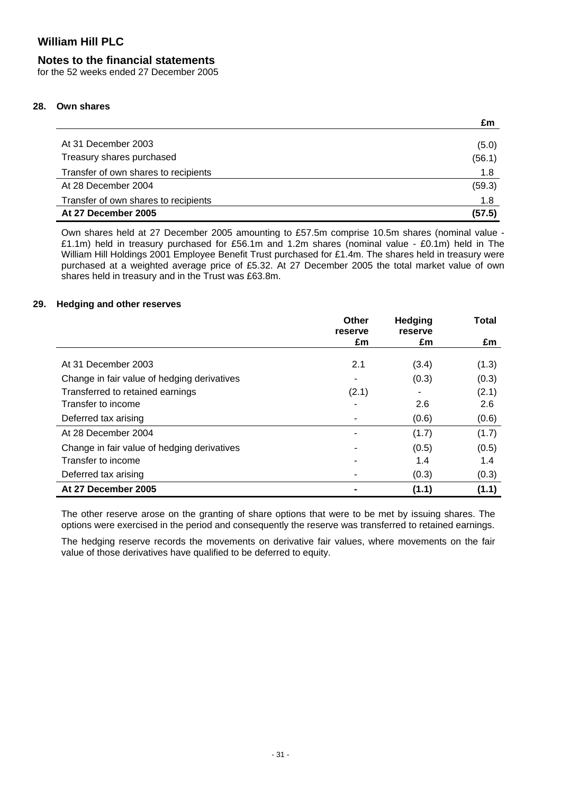### **Notes to the financial statements**

for the 52 weeks ended 27 December 2005

#### **28. Own shares**

|                                      | £m     |
|--------------------------------------|--------|
| At 31 December 2003                  | (5.0)  |
| Treasury shares purchased            | (56.1) |
| Transfer of own shares to recipients | 1.8    |
| At 28 December 2004                  | (59.3) |
| Transfer of own shares to recipients | 1.8    |
| At 27 December 2005                  | (57.5) |

Own shares held at 27 December 2005 amounting to £57.5m comprise 10.5m shares (nominal value - £1.1m) held in treasury purchased for £56.1m and 1.2m shares (nominal value - £0.1m) held in The William Hill Holdings 2001 Employee Benefit Trust purchased for £1.4m. The shares held in treasury were purchased at a weighted average price of £5.32. At 27 December 2005 the total market value of own shares held in treasury and in the Trust was £63.8m.

#### **29. Hedging and other reserves**

|                                             | Other<br>reserve | <b>Hedging</b><br>reserve | Total |
|---------------------------------------------|------------------|---------------------------|-------|
|                                             | £m               | £m                        | £m    |
| At 31 December 2003                         | 2.1              | (3.4)                     | (1.3) |
| Change in fair value of hedging derivatives |                  | (0.3)                     | (0.3) |
| Transferred to retained earnings            | (2.1)            |                           | (2.1) |
| Transfer to income                          |                  | 2.6                       | 2.6   |
| Deferred tax arising                        |                  | (0.6)                     | (0.6) |
| At 28 December 2004                         |                  | (1.7)                     | (1.7) |
| Change in fair value of hedging derivatives |                  | (0.5)                     | (0.5) |
| Transfer to income                          |                  | 1.4                       | 1.4   |
| Deferred tax arising                        |                  | (0.3)                     | (0.3) |
| At 27 December 2005                         |                  | (1.1)                     | (1.1) |

The other reserve arose on the granting of share options that were to be met by issuing shares. The options were exercised in the period and consequently the reserve was transferred to retained earnings.

The hedging reserve records the movements on derivative fair values, where movements on the fair value of those derivatives have qualified to be deferred to equity.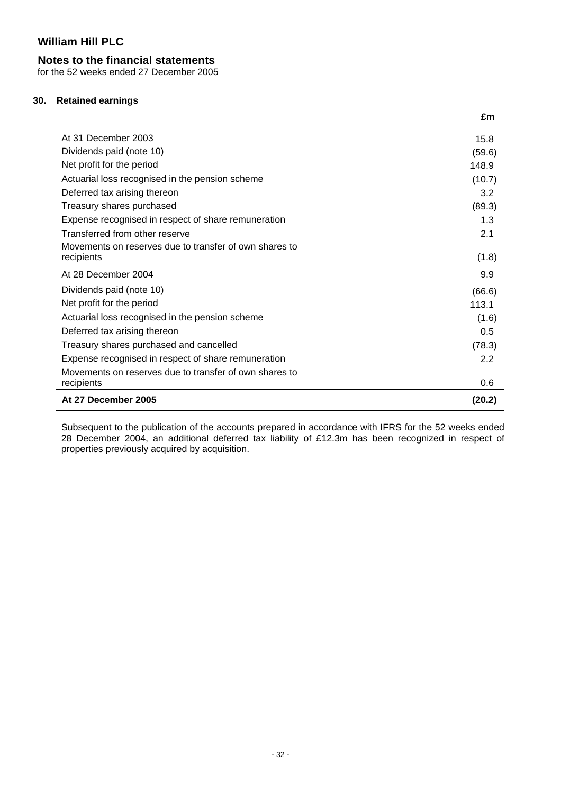# **Notes to the financial statements**

for the 52 weeks ended 27 December 2005

# **30. Retained earnings**

|                                                                      | £m     |
|----------------------------------------------------------------------|--------|
| At 31 December 2003                                                  | 15.8   |
| Dividends paid (note 10)                                             | (59.6) |
| Net profit for the period                                            | 148.9  |
| Actuarial loss recognised in the pension scheme                      | (10.7) |
| Deferred tax arising thereon                                         | 3.2    |
| Treasury shares purchased                                            | (89.3) |
| Expense recognised in respect of share remuneration                  | 1.3    |
| Transferred from other reserve                                       | 2.1    |
| Movements on reserves due to transfer of own shares to<br>recipients | (1.8)  |
| At 28 December 2004                                                  | 9.9    |
| Dividends paid (note 10)                                             | (66.6) |
| Net profit for the period                                            | 113.1  |
| Actuarial loss recognised in the pension scheme                      | (1.6)  |
| Deferred tax arising thereon                                         | 0.5    |
| Treasury shares purchased and cancelled                              | (78.3) |
| Expense recognised in respect of share remuneration                  | 2.2    |
| Movements on reserves due to transfer of own shares to               |        |
| recipients                                                           | 0.6    |
| At 27 December 2005                                                  | (20.2) |

Subsequent to the publication of the accounts prepared in accordance with IFRS for the 52 weeks ended 28 December 2004, an additional deferred tax liability of £12.3m has been recognized in respect of properties previously acquired by acquisition.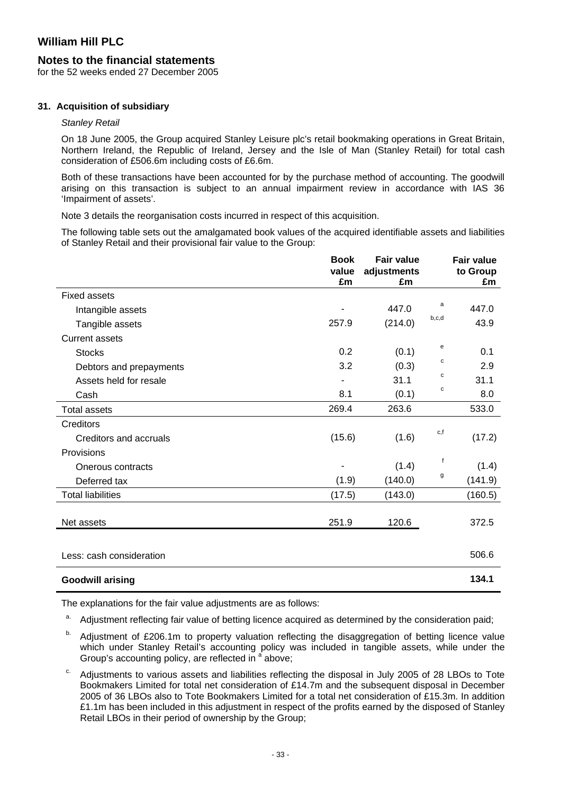### **Notes to the financial statements**

for the 52 weeks ended 27 December 2005

#### **31. Acquisition of subsidiary**

#### *Stanley Retail*

On 18 June 2005, the Group acquired Stanley Leisure plc's retail bookmaking operations in Great Britain, Northern Ireland, the Republic of Ireland, Jersey and the Isle of Man (Stanley Retail) for total cash consideration of £506.6m including costs of £6.6m.

Both of these transactions have been accounted for by the purchase method of accounting. The goodwill arising on this transaction is subject to an annual impairment review in accordance with IAS 36 'Impairment of assets'.

Note 3 details the reorganisation costs incurred in respect of this acquisition.

The following table sets out the amalgamated book values of the acquired identifiable assets and liabilities of Stanley Retail and their provisional fair value to the Group:

|                          | <b>Book</b> | <b>Fair value</b> |         | <b>Fair value</b> |
|--------------------------|-------------|-------------------|---------|-------------------|
|                          | value       | adjustments       |         | to Group          |
|                          | £m          | £m                |         | £m                |
| <b>Fixed assets</b>      |             |                   |         |                   |
| Intangible assets        |             | 447.0             | a       | 447.0             |
| Tangible assets          | 257.9       | (214.0)           | b, c, d | 43.9              |
| <b>Current assets</b>    |             |                   |         |                   |
| <b>Stocks</b>            | 0.2         | (0.1)             | e       | 0.1               |
| Debtors and prepayments  | 3.2         | (0.3)             | с       | 2.9               |
| Assets held for resale   |             | 31.1              | с       | 31.1              |
| Cash                     | 8.1         | (0.1)             | с       | 8.0               |
| <b>Total assets</b>      | 269.4       | 263.6             |         | 533.0             |
| Creditors                |             |                   |         |                   |
| Creditors and accruals   | (15.6)      | (1.6)             | c,f     | (17.2)            |
| Provisions               |             |                   |         |                   |
| Onerous contracts        |             | (1.4)             | f       | (1.4)             |
| Deferred tax             | (1.9)       | (140.0)           | g       | (141.9)           |
| <b>Total liabilities</b> | (17.5)      | (143.0)           |         | (160.5)           |
|                          |             |                   |         |                   |
| Net assets               | 251.9       | 120.6             |         | 372.5             |
|                          |             |                   |         |                   |
| Less: cash consideration |             |                   |         | 506.6             |
| <b>Goodwill arising</b>  |             |                   |         | 134.1             |

The explanations for the fair value adjustments are as follows:

- Adjustment reflecting fair value of betting licence acquired as determined by the consideration paid;
- <sup>b.</sup> Adjustment of £206.1m to property valuation reflecting the disaggregation of betting licence value which under Stanley Retail's accounting policy was included in tangible assets, while under the Group's accounting policy, are reflected in <sup>a</sup> above;
- $\degree$  Adjustments to various assets and liabilities reflecting the disposal in July 2005 of 28 LBOs to Tote Bookmakers Limited for total net consideration of £14.7m and the subsequent disposal in December 2005 of 36 LBOs also to Tote Bookmakers Limited for a total net consideration of £15.3m. In addition £1.1m has been included in this adjustment in respect of the profits earned by the disposed of Stanley Retail LBOs in their period of ownership by the Group;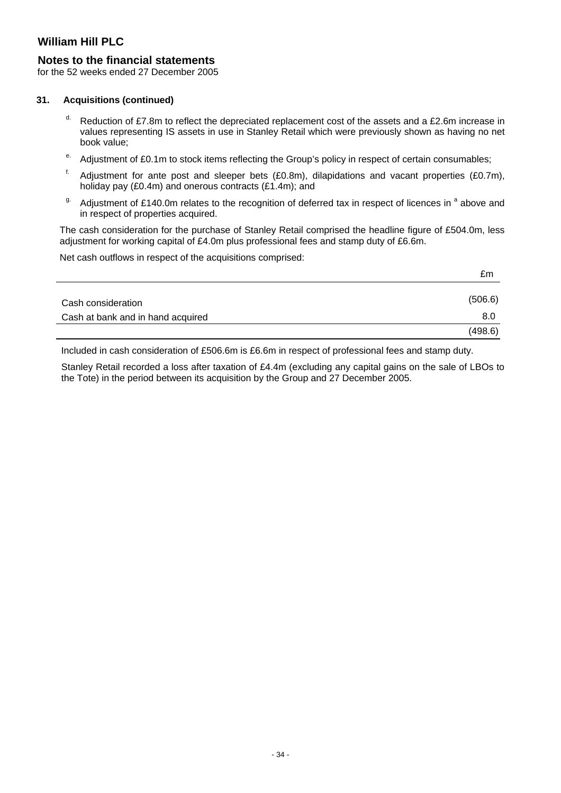# **Notes to the financial statements**

for the 52 weeks ended 27 December 2005

# **31. Acquisitions (continued)**

- $d$ . Reduction of £7.8m to reflect the depreciated replacement cost of the assets and a £2.6m increase in values representing IS assets in use in Stanley Retail which were previously shown as having no net book value;
- <sup>e.</sup> Adjustment of £0.1m to stock items reflecting the Group's policy in respect of certain consumables;
- $<sup>f.</sup>$  Adjustment for ante post and sleeper bets (£0.8m), dilapidations and vacant properties (£0.7m),</sup> holiday pay (£0.4m) and onerous contracts (£1.4m); and
- $9 -$  Adjustment of £140.0m relates to the recognition of deferred tax in respect of licences in  $^{\rm a}$  above and in respect of properties acquired.

The cash consideration for the purchase of Stanley Retail comprised the headline figure of £504.0m, less adjustment for working capital of £4.0m plus professional fees and stamp duty of £6.6m.

Net cash outflows in respect of the acquisitions comprised:

|                                   | £m      |
|-----------------------------------|---------|
| Cash consideration                | (506.6) |
| Cash at bank and in hand acquired | 8.0     |
|                                   | (498.6) |

Included in cash consideration of £506.6m is £6.6m in respect of professional fees and stamp duty.

Stanley Retail recorded a loss after taxation of £4.4m (excluding any capital gains on the sale of LBOs to the Tote) in the period between its acquisition by the Group and 27 December 2005.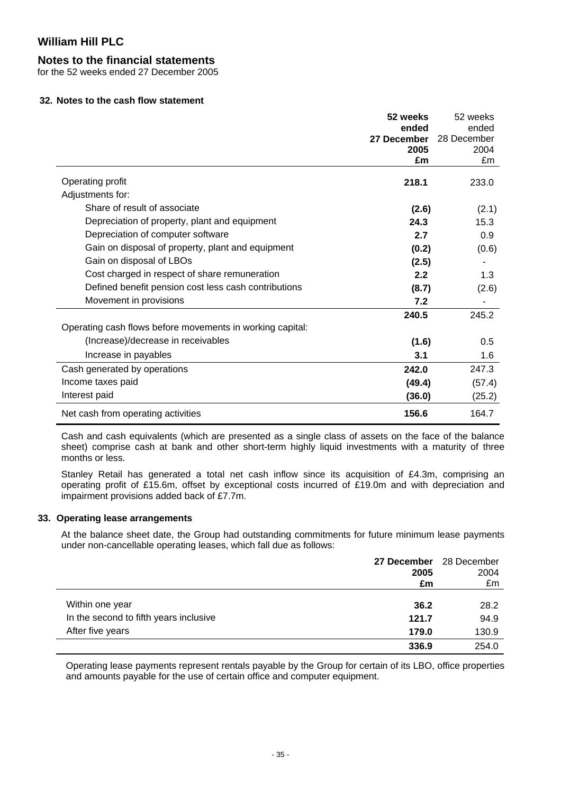### **Notes to the financial statements**

for the 52 weeks ended 27 December 2005

#### **32. Notes to the cash flow statement**

|                                                           | 52 weeks    | 52 weeks    |
|-----------------------------------------------------------|-------------|-------------|
|                                                           | ended       | ended       |
|                                                           | 27 December | 28 December |
|                                                           | 2005        | 2004        |
|                                                           | £m          | £m          |
| Operating profit                                          | 218.1       | 233.0       |
| Adjustments for:                                          |             |             |
| Share of result of associate                              | (2.6)       | (2.1)       |
| Depreciation of property, plant and equipment             | 24.3        | 15.3        |
| Depreciation of computer software                         | 2.7         | 0.9         |
| Gain on disposal of property, plant and equipment         | (0.2)       | (0.6)       |
| Gain on disposal of LBOs                                  | (2.5)       |             |
| Cost charged in respect of share remuneration             | 2.2         | 1.3         |
| Defined benefit pension cost less cash contributions      | (8.7)       | (2.6)       |
| Movement in provisions                                    | 7.2         |             |
|                                                           | 240.5       | 245.2       |
| Operating cash flows before movements in working capital: |             |             |
| (Increase)/decrease in receivables                        | (1.6)       | 0.5         |
| Increase in payables                                      | 3.1         | 1.6         |
| Cash generated by operations                              | 242.0       | 247.3       |
| Income taxes paid                                         | (49.4)      | (57.4)      |
| Interest paid                                             | (36.0)      | (25.2)      |
| Net cash from operating activities                        | 156.6       | 164.7       |

Cash and cash equivalents (which are presented as a single class of assets on the face of the balance sheet) comprise cash at bank and other short-term highly liquid investments with a maturity of three months or less.

Stanley Retail has generated a total net cash inflow since its acquisition of £4.3m, comprising an operating profit of £15.6m, offset by exceptional costs incurred of £19.0m and with depreciation and impairment provisions added back of £7.7m.

### **33. Operating lease arrangements**

At the balance sheet date, the Group had outstanding commitments for future minimum lease payments under non-cancellable operating leases, which fall due as follows:

|                                        | 27 December<br>2005 | 28 December<br>2004 |
|----------------------------------------|---------------------|---------------------|
|                                        | £m                  | £m                  |
| Within one year                        | 36.2                | 28.2                |
| In the second to fifth years inclusive | 121.7               | 94.9                |
| After five years                       | 179.0               | 130.9               |
|                                        | 336.9               | 254.0               |

Operating lease payments represent rentals payable by the Group for certain of its LBO, office properties and amounts payable for the use of certain office and computer equipment.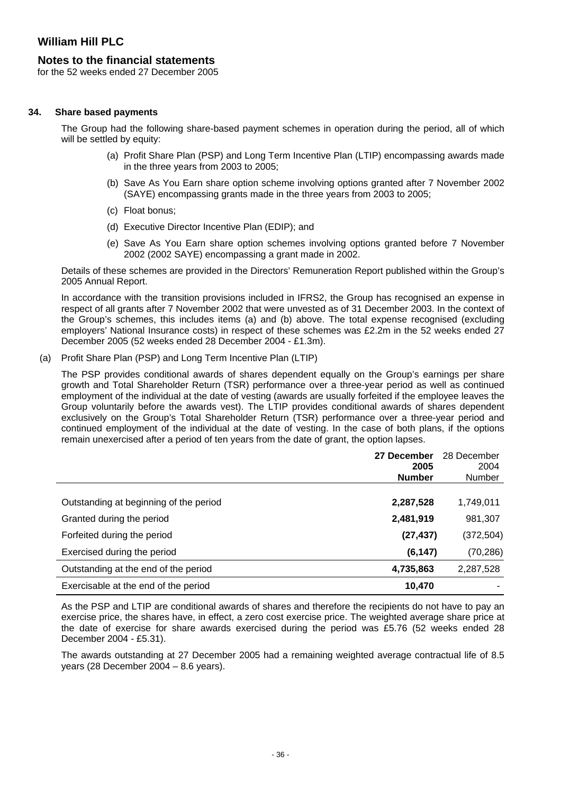### **Notes to the financial statements**

for the 52 weeks ended 27 December 2005

#### **34. Share based payments**

The Group had the following share-based payment schemes in operation during the period, all of which will be settled by equity:

- (a) Profit Share Plan (PSP) and Long Term Incentive Plan (LTIP) encompassing awards made in the three years from 2003 to 2005;
- (b) Save As You Earn share option scheme involving options granted after 7 November 2002 (SAYE) encompassing grants made in the three years from 2003 to 2005;
- (c) Float bonus;
- (d) Executive Director Incentive Plan (EDIP); and
- (e) Save As You Earn share option schemes involving options granted before 7 November 2002 (2002 SAYE) encompassing a grant made in 2002.

Details of these schemes are provided in the Directors' Remuneration Report published within the Group's 2005 Annual Report.

In accordance with the transition provisions included in IFRS2, the Group has recognised an expense in respect of all grants after 7 November 2002 that were unvested as of 31 December 2003. In the context of the Group's schemes, this includes items (a) and (b) above. The total expense recognised (excluding employers' National Insurance costs) in respect of these schemes was £2.2m in the 52 weeks ended 27 December 2005 (52 weeks ended 28 December 2004 - £1.3m).

(a) Profit Share Plan (PSP) and Long Term Incentive Plan (LTIP)

The PSP provides conditional awards of shares dependent equally on the Group's earnings per share growth and Total Shareholder Return (TSR) performance over a three-year period as well as continued employment of the individual at the date of vesting (awards are usually forfeited if the employee leaves the Group voluntarily before the awards vest). The LTIP provides conditional awards of shares dependent exclusively on the Group's Total Shareholder Return (TSR) performance over a three-year period and continued employment of the individual at the date of vesting. In the case of both plans, if the options remain unexercised after a period of ten years from the date of grant, the option lapses.

|                                        | 27 December   | 28 December |
|----------------------------------------|---------------|-------------|
|                                        | 2005          | 2004        |
|                                        | <b>Number</b> | Number      |
|                                        |               |             |
| Outstanding at beginning of the period | 2,287,528     | 1,749,011   |
| Granted during the period              | 2,481,919     | 981,307     |
| Forfeited during the period            | (27, 437)     | (372,504)   |
| Exercised during the period            | (6, 147)      | (70, 286)   |
| Outstanding at the end of the period   | 4,735,863     | 2,287,528   |
| Exercisable at the end of the period   | 10,470        |             |

As the PSP and LTIP are conditional awards of shares and therefore the recipients do not have to pay an exercise price, the shares have, in effect, a zero cost exercise price. The weighted average share price at the date of exercise for share awards exercised during the period was £5.76 (52 weeks ended 28 December 2004 - £5.31).

The awards outstanding at 27 December 2005 had a remaining weighted average contractual life of 8.5 years (28 December 2004 – 8.6 years).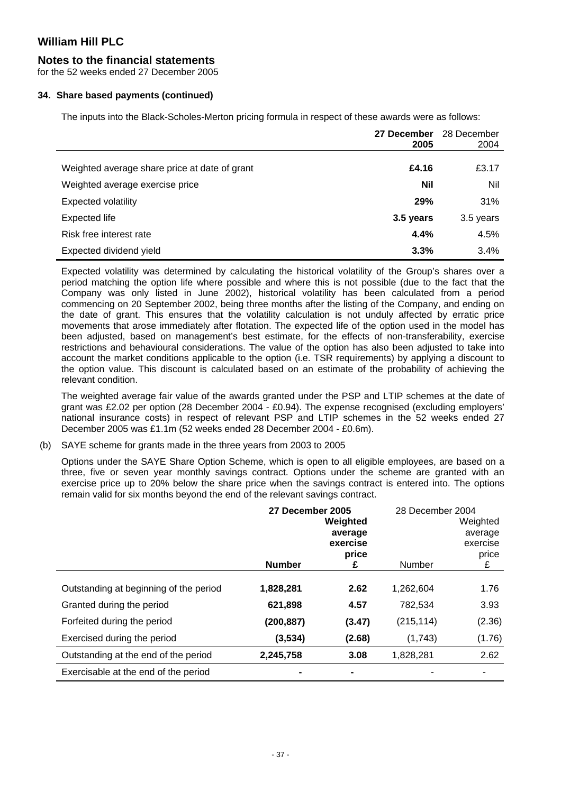### **Notes to the financial statements**

for the 52 weeks ended 27 December 2005

### **34. Share based payments (continued)**

The inputs into the Black-Scholes-Merton pricing formula in respect of these awards were as follows:

|                                               | 27 December<br>2005 | 28 December<br>2004 |
|-----------------------------------------------|---------------------|---------------------|
|                                               |                     |                     |
| Weighted average share price at date of grant | £4.16               | £3.17               |
| Weighted average exercise price               | <b>Nil</b>          | Nil                 |
| <b>Expected volatility</b>                    | 29%                 | 31%                 |
| Expected life                                 | 3.5 years           | 3.5 years           |
| Risk free interest rate                       | 4.4%                | 4.5%                |
| Expected dividend yield                       | 3.3%                | 3.4%                |

Expected volatility was determined by calculating the historical volatility of the Group's shares over a period matching the option life where possible and where this is not possible (due to the fact that the Company was only listed in June 2002), historical volatility has been calculated from a period commencing on 20 September 2002, being three months after the listing of the Company, and ending on the date of grant. This ensures that the volatility calculation is not unduly affected by erratic price movements that arose immediately after flotation. The expected life of the option used in the model has been adjusted, based on management's best estimate, for the effects of non-transferability, exercise restrictions and behavioural considerations. The value of the option has also been adjusted to take into account the market conditions applicable to the option (i.e. TSR requirements) by applying a discount to the option value. This discount is calculated based on an estimate of the probability of achieving the relevant condition.

The weighted average fair value of the awards granted under the PSP and LTIP schemes at the date of grant was £2.02 per option (28 December 2004 - £0.94). The expense recognised (excluding employers' national insurance costs) in respect of relevant PSP and LTIP schemes in the 52 weeks ended 27 December 2005 was £1.1m (52 weeks ended 28 December 2004 - £0.6m).

(b) SAYE scheme for grants made in the three years from 2003 to 2005

Options under the SAYE Share Option Scheme, which is open to all eligible employees, are based on a three, five or seven year monthly savings contract. Options under the scheme are granted with an exercise price up to 20% below the share price when the savings contract is entered into. The options remain valid for six months beyond the end of the relevant savings contract.

|                                        | 27 December 2005 | Weighted<br>average<br>exercise<br>price | 28 December 2004 | Weighted<br>average<br>exercise<br>price |
|----------------------------------------|------------------|------------------------------------------|------------------|------------------------------------------|
|                                        | <b>Number</b>    | £                                        | Number           | £                                        |
| Outstanding at beginning of the period | 1,828,281        | 2.62                                     | 1,262,604        | 1.76                                     |
| Granted during the period              | 621,898          | 4.57                                     | 782,534          | 3.93                                     |
| Forfeited during the period            | (200, 887)       | (3.47)                                   | (215, 114)       | (2.36)                                   |
| Exercised during the period            | (3,534)          | (2.68)                                   | (1,743)          | (1.76)                                   |
| Outstanding at the end of the period   | 2,245,758        | 3.08                                     | 1,828,281        | 2.62                                     |
| Exercisable at the end of the period   |                  |                                          |                  |                                          |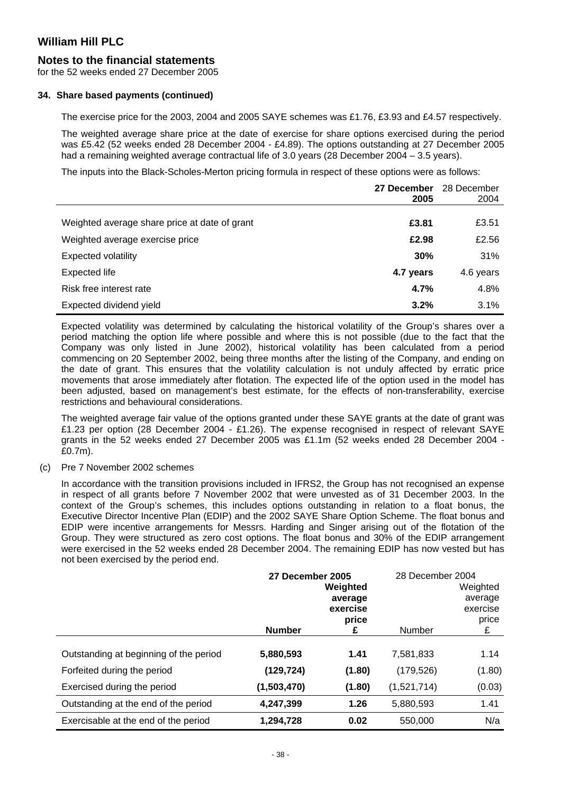### **Notes to the financial statements**

for the 52 weeks ended 27 December 2005

### **34. Share based payments (continued)**

The exercise price for the 2003, 2004 and 2005 SAYE schemes was £1.76, £3.93 and £4.57 respectively.

The weighted average share price at the date of exercise for share options exercised during the period was £5.42 (52 weeks ended 28 December 2004 - £4.89). The options outstanding at 27 December 2005 had a remaining weighted average contractual life of 3.0 years (28 December 2004 – 3.5 years).

The inputs into the Black-Scholes-Merton pricing formula in respect of these options were as follows:

|                                               | 27 December<br>2005 | 28 December<br>2004 |
|-----------------------------------------------|---------------------|---------------------|
|                                               |                     |                     |
| Weighted average share price at date of grant | £3.81               | £3.51               |
| Weighted average exercise price               | £2.98               | £2.56               |
| <b>Expected volatility</b>                    | 30%                 | 31%                 |
| Expected life                                 | 4.7 years           | 4.6 years           |
| Risk free interest rate                       | 4.7%                | 4.8%                |
| Expected dividend yield                       | 3.2%                | 3.1%                |

Expected volatility was determined by calculating the historical volatility of the Group's shares over a period matching the option life where possible and where this is not possible (due to the fact that the Company was only listed in June 2002), historical volatility has been calculated from a period commencing on 20 September 2002, being three months after the listing of the Company, and ending on the date of grant. This ensures that the volatility calculation is not unduly affected by erratic price movements that arose immediately after flotation. The expected life of the option used in the model has been adjusted, based on management's best estimate, for the effects of non-transferability, exercise restrictions and behavioural considerations.

The weighted average fair value of the options granted under these SAYE grants at the date of grant was £1.23 per option (28 December 2004 - £1.26). The expense recognised in respect of relevant SAYE grants in the 52 weeks ended 27 December 2005 was £1.1m (52 weeks ended 28 December 2004 - £0.7m).

#### (c) Pre 7 November 2002 schemes

In accordance with the transition provisions included in IFRS2, the Group has not recognised an expense in respect of all grants before 7 November 2002 that were unvested as of 31 December 2003. In the context of the Group's schemes, this includes options outstanding in relation to a float bonus, the Executive Director Incentive Plan (EDIP) and the 2002 SAYE Share Option Scheme. The float bonus and EDIP were incentive arrangements for Messrs. Harding and Singer arising out of the flotation of the Group. They were structured as zero cost options. The float bonus and 30% of the EDIP arrangement were exercised in the 52 weeks ended 28 December 2004. The remaining EDIP has now vested but has not been exercised by the period end.

|                                        | 27 December 2005 | Weighted<br>average<br>exercise<br>price | 28 December 2004 | Weighted<br>average<br>exercise<br>price |
|----------------------------------------|------------------|------------------------------------------|------------------|------------------------------------------|
|                                        | <b>Number</b>    | £                                        | Number           | £                                        |
| Outstanding at beginning of the period | 5,880,593        | 1.41                                     | 7,581,833        | 1.14                                     |
| Forfeited during the period            | (129, 724)       | (1.80)                                   | (179, 526)       | (1.80)                                   |
| Exercised during the period            | (1,503,470)      | (1.80)                                   | (1,521,714)      | (0.03)                                   |
| Outstanding at the end of the period   | 4,247,399        | 1.26                                     | 5,880,593        | 1.41                                     |
| Exercisable at the end of the period   | 1,294,728        | 0.02                                     | 550,000          | N/a                                      |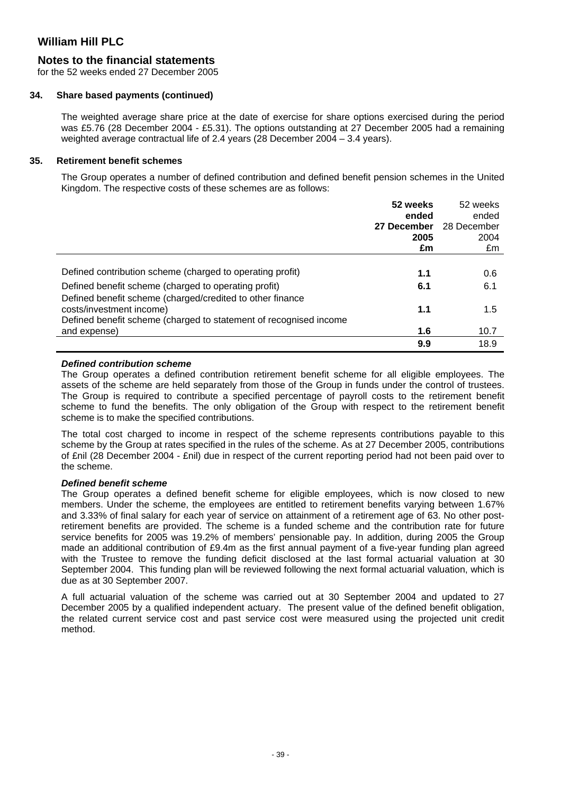# **Notes to the financial statements**

for the 52 weeks ended 27 December 2005

### **34. Share based payments (continued)**

The weighted average share price at the date of exercise for share options exercised during the period was £5.76 (28 December 2004 - £5.31). The options outstanding at 27 December 2005 had a remaining weighted average contractual life of 2.4 years (28 December 2004 – 3.4 years).

# **35. Retirement benefit schemes**

The Group operates a number of defined contribution and defined benefit pension schemes in the United Kingdom. The respective costs of these schemes are as follows:

|                                                                                                                                                            | 52 weeks<br>ended<br>27 December<br>2005<br>£m | 52 weeks<br>ended<br>28 December<br>2004<br>£m |
|------------------------------------------------------------------------------------------------------------------------------------------------------------|------------------------------------------------|------------------------------------------------|
|                                                                                                                                                            |                                                |                                                |
| Defined contribution scheme (charged to operating profit)                                                                                                  | 1.1                                            | 0.6                                            |
| Defined benefit scheme (charged to operating profit)                                                                                                       | 6.1                                            | 6.1                                            |
| Defined benefit scheme (charged/credited to other finance<br>costs/investment income)<br>Defined benefit scheme (charged to statement of recognised income | 1.1                                            | 1.5                                            |
| and expense)                                                                                                                                               | 1.6                                            | 10.7                                           |
|                                                                                                                                                            | 9.9                                            | 18.9                                           |

# *Defined contribution scheme*

The Group operates a defined contribution retirement benefit scheme for all eligible employees. The assets of the scheme are held separately from those of the Group in funds under the control of trustees. The Group is required to contribute a specified percentage of payroll costs to the retirement benefit scheme to fund the benefits. The only obligation of the Group with respect to the retirement benefit scheme is to make the specified contributions.

The total cost charged to income in respect of the scheme represents contributions payable to this scheme by the Group at rates specified in the rules of the scheme. As at 27 December 2005, contributions of £nil (28 December 2004 - £nil) due in respect of the current reporting period had not been paid over to the scheme.

# *Defined benefit scheme*

The Group operates a defined benefit scheme for eligible employees, which is now closed to new members. Under the scheme, the employees are entitled to retirement benefits varying between 1.67% and 3.33% of final salary for each year of service on attainment of a retirement age of 63. No other postretirement benefits are provided. The scheme is a funded scheme and the contribution rate for future service benefits for 2005 was 19.2% of members' pensionable pay. In addition, during 2005 the Group made an additional contribution of £9.4m as the first annual payment of a five-year funding plan agreed with the Trustee to remove the funding deficit disclosed at the last formal actuarial valuation at 30 September 2004. This funding plan will be reviewed following the next formal actuarial valuation, which is due as at 30 September 2007.

A full actuarial valuation of the scheme was carried out at 30 September 2004 and updated to 27 December 2005 by a qualified independent actuary. The present value of the defined benefit obligation, the related current service cost and past service cost were measured using the projected unit credit method.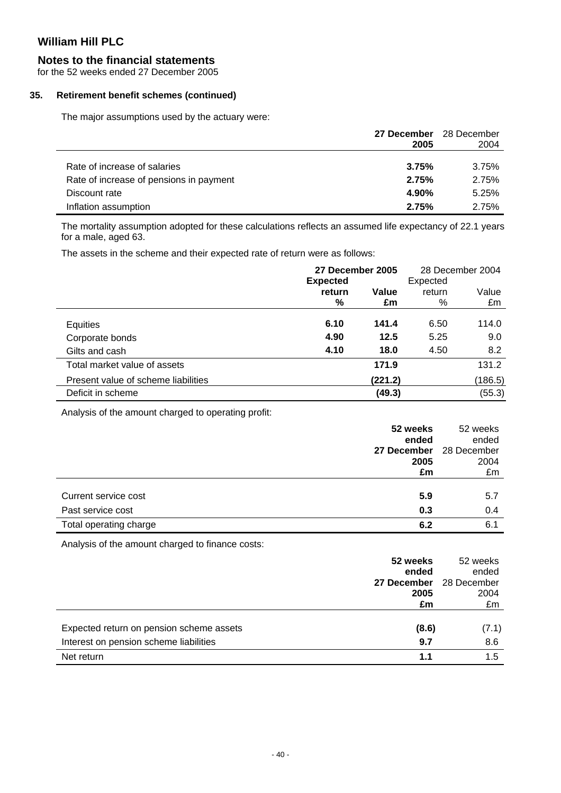### **Notes to the financial statements**

for the 52 weeks ended 27 December 2005

### **35. Retirement benefit schemes (continued)**

The major assumptions used by the actuary were:

|                                         | 27 December 28 December<br>2005 | 2004  |
|-----------------------------------------|---------------------------------|-------|
| Rate of increase of salaries            | 3.75%                           | 3.75% |
| Rate of increase of pensions in payment | 2.75%                           | 2.75% |
| Discount rate                           | 4.90%                           | 5.25% |
| Inflation assumption                    | 2.75%                           | 2.75% |

The mortality assumption adopted for these calculations reflects an assumed life expectancy of 22.1 years for a male, aged 63.

The assets in the scheme and their expected rate of return were as follows:

|                                     | 27 December 2005 |         |          | 28 December 2004 |
|-------------------------------------|------------------|---------|----------|------------------|
|                                     | <b>Expected</b>  |         | Expected |                  |
|                                     | return           | Value   | return   | Value            |
|                                     | %                | £m      | %        | £m               |
|                                     |                  |         |          |                  |
| <b>Equities</b>                     | 6.10             | 141.4   | 6.50     | 114.0            |
| Corporate bonds                     | 4.90             | 12.5    | 5.25     | 9.0              |
| Gilts and cash                      | 4.10             | 18.0    | 4.50     | 8.2              |
| Total market value of assets        |                  | 171.9   |          | 131.2            |
| Present value of scheme liabilities |                  | (221.2) |          | (186.5)          |
| Deficit in scheme                   |                  | (49.3)  |          | (55.3)           |

Analysis of the amount charged to operating profit:

|                        | 52 weeks    | 52 weeks    |
|------------------------|-------------|-------------|
|                        | ended       | ended       |
|                        | 27 December | 28 December |
|                        | 2005        | 2004        |
|                        | £m          | £m          |
|                        |             |             |
| Current service cost   | 5.9         | 5.7         |
| Past service cost      | 0.3         | 0.4         |
| Total operating charge | 6.2         | 6.1         |

Analysis of the amount charged to finance costs:

| 52 weeks                                          | 52 weeks    |
|---------------------------------------------------|-------------|
| ended                                             | ended       |
| 27 December                                       | 28 December |
| 2005                                              | 2004        |
| £m                                                | £m          |
|                                                   |             |
| Expected return on pension scheme assets<br>(8.6) | (7.1)       |
| Interest on pension scheme liabilities<br>9.7     | 8.6         |
| Net return<br>1.1                                 | 1.5         |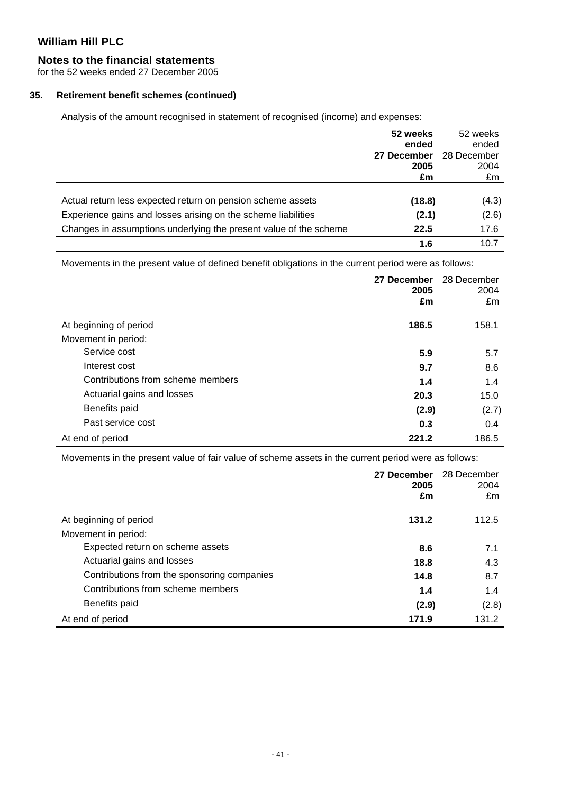### **Notes to the financial statements**

for the 52 weeks ended 27 December 2005

### **35. Retirement benefit schemes (continued)**

Analysis of the amount recognised in statement of recognised (income) and expenses:

|                                                                   | 52 weeks    | 52 weeks    |
|-------------------------------------------------------------------|-------------|-------------|
|                                                                   | ended       | ended       |
|                                                                   | 27 December | 28 December |
|                                                                   | 2005        | 2004        |
|                                                                   | £m          | £m          |
|                                                                   |             |             |
| Actual return less expected return on pension scheme assets       | (18.8)      | (4.3)       |
| Experience gains and losses arising on the scheme liabilities     | (2.1)       | (2.6)       |
| Changes in assumptions underlying the present value of the scheme | 22.5        | 17.6        |
|                                                                   | 1.6         | 10.7        |

Movements in the present value of defined benefit obligations in the current period were as follows:

|                                               | 27 December<br>2005<br>£m | 28 December<br>2004<br>£m |
|-----------------------------------------------|---------------------------|---------------------------|
| At beginning of period<br>Movement in period: | 186.5                     | 158.1                     |
| Service cost                                  | 5.9                       | 5.7                       |
| Interest cost                                 | 9.7                       | 8.6                       |
| Contributions from scheme members             | 1.4                       | 1.4                       |
| Actuarial gains and losses                    | 20.3                      | 15.0                      |
| Benefits paid                                 | (2.9)                     | (2.7)                     |
| Past service cost                             | 0.3                       | 0.4                       |
| At end of period                              | 221.2                     | 186.5                     |

Movements in the present value of fair value of scheme assets in the current period were as follows:

|                                             | 27 December<br>2005<br>£m | 28 December<br>2004<br>£m |
|---------------------------------------------|---------------------------|---------------------------|
| At beginning of period                      | 131.2                     | 112.5                     |
| Movement in period:                         |                           |                           |
| Expected return on scheme assets            | 8.6                       | 7.1                       |
| Actuarial gains and losses                  | 18.8                      | 4.3                       |
| Contributions from the sponsoring companies | 14.8                      | 8.7                       |
| Contributions from scheme members           | 1.4                       | 1.4                       |
| Benefits paid                               | (2.9)                     | (2.8)                     |
| At end of period                            | 171.9                     | 131.2                     |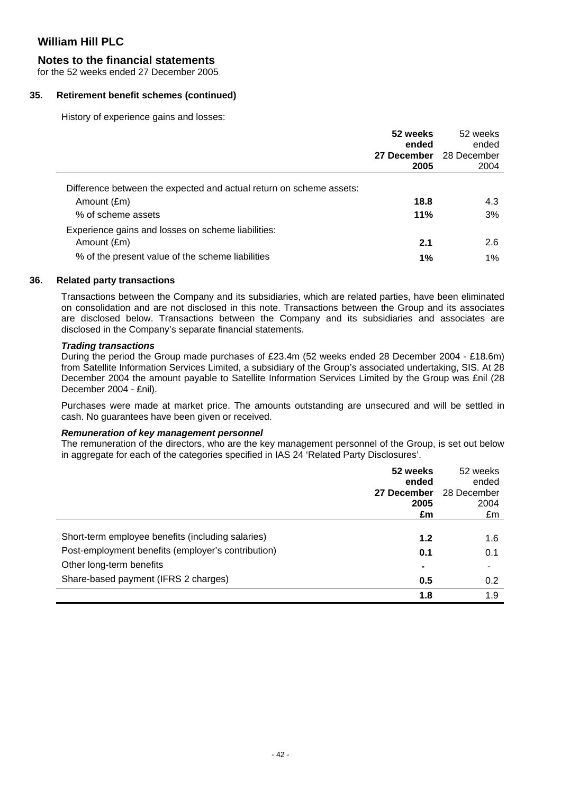### **Notes to the financial statements**

for the 52 weeks ended 27 December 2005

#### **35. Retirement benefit schemes (continued)**

History of experience gains and losses:

|                                                                     | 52 weeks<br>ended<br>27 December 28 December<br>2005 | 52 weeks<br>ended<br>2004 |
|---------------------------------------------------------------------|------------------------------------------------------|---------------------------|
| Difference between the expected and actual return on scheme assets: |                                                      |                           |
| Amount (£m)                                                         | 18.8                                                 | 4.3                       |
| % of scheme assets                                                  | 11%                                                  | 3%                        |
| Experience gains and losses on scheme liabilities:                  |                                                      |                           |
| Amount (£m)                                                         | 2.1                                                  | 2.6                       |
| % of the present value of the scheme liabilities                    | 1%                                                   | $1\%$                     |

#### **36. Related party transactions**

Transactions between the Company and its subsidiaries, which are related parties, have been eliminated on consolidation and are not disclosed in this note. Transactions between the Group and its associates are disclosed below. Transactions between the Company and its subsidiaries and associates are disclosed in the Company's separate financial statements.

#### *Trading transactions*

During the period the Group made purchases of £23.4m (52 weeks ended 28 December 2004 - £18.6m) from Satellite Information Services Limited, a subsidiary of the Group's associated undertaking, SIS. At 28 December 2004 the amount payable to Satellite Information Services Limited by the Group was £nil (28 December 2004 - £nil).

Purchases were made at market price. The amounts outstanding are unsecured and will be settled in cash. No guarantees have been given or received.

#### *Remuneration of key management personnel*

The remuneration of the directors, who are the key management personnel of the Group, is set out below in aggregate for each of the categories specified in IAS 24 'Related Party Disclosures'.

|                                                    | 52 weeks<br>ended<br>27 December | 52 weeks<br>ended<br>28 December |
|----------------------------------------------------|----------------------------------|----------------------------------|
|                                                    | 2005<br>£m                       | 2004<br>£m                       |
|                                                    |                                  |                                  |
| Short-term employee benefits (including salaries)  | 1.2                              | 1.6                              |
| Post-employment benefits (employer's contribution) | 0.1                              | 0.1                              |
| Other long-term benefits                           | $\blacksquare$                   |                                  |
| Share-based payment (IFRS 2 charges)               | 0.5                              | 0.2                              |
|                                                    | 1.8                              | 1.9                              |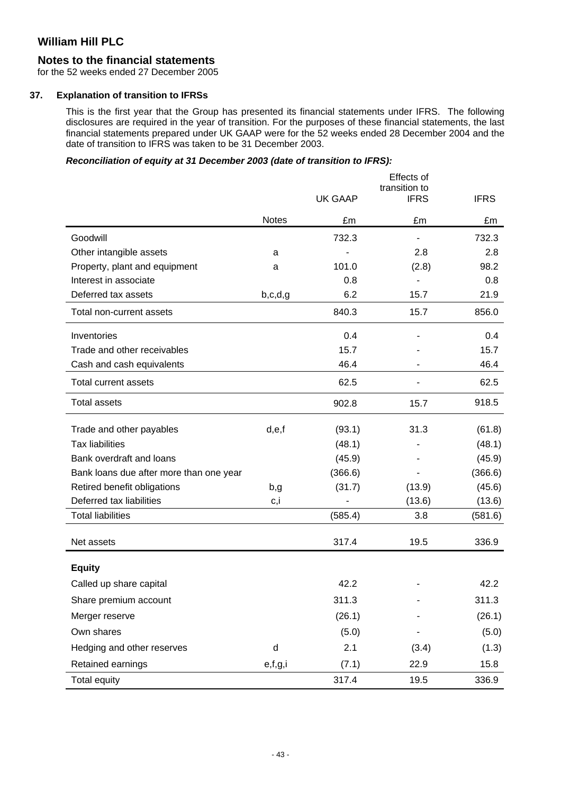# **Notes to the financial statements**

for the 52 weeks ended 27 December 2005

### **37. Explanation of transition to IFRSs**

This is the first year that the Group has presented its financial statements under IFRS. The following disclosures are required in the year of transition. For the purposes of these financial statements, the last financial statements prepared under UK GAAP were for the 52 weeks ended 28 December 2004 and the date of transition to IFRS was taken to be 31 December 2003.

# *Reconciliation of equity at 31 December 2003 (date of transition to IFRS):*

|                                         |              |                | Effects of<br>transition to |             |
|-----------------------------------------|--------------|----------------|-----------------------------|-------------|
|                                         |              | <b>UK GAAP</b> | <b>IFRS</b>                 | <b>IFRS</b> |
|                                         | <b>Notes</b> | £m             | £m                          | £m          |
| Goodwill                                |              | 732.3          |                             | 732.3       |
| Other intangible assets                 | a            |                | 2.8                         | 2.8         |
| Property, plant and equipment           | a            | 101.0          | (2.8)                       | 98.2        |
| Interest in associate                   |              | 0.8            |                             | 0.8         |
| Deferred tax assets                     | b,c,d,g      | 6.2            | 15.7                        | 21.9        |
| Total non-current assets                |              | 840.3          | 15.7                        | 856.0       |
| Inventories                             |              | 0.4            |                             | 0.4         |
| Trade and other receivables             |              | 15.7           |                             | 15.7        |
| Cash and cash equivalents               |              | 46.4           |                             | 46.4        |
| <b>Total current assets</b>             |              | 62.5           |                             | 62.5        |
| <b>Total assets</b>                     |              | 902.8          | 15.7                        | 918.5       |
| Trade and other payables                | d,e,f        | (93.1)         | 31.3                        | (61.8)      |
| <b>Tax liabilities</b>                  |              | (48.1)         |                             | (48.1)      |
| Bank overdraft and loans                |              | (45.9)         |                             | (45.9)      |
| Bank loans due after more than one year |              | (366.6)        |                             | (366.6)     |
| Retired benefit obligations             | b,g          | (31.7)         | (13.9)                      | (45.6)      |
| Deferred tax liabilities                | c,i          |                | (13.6)                      | (13.6)      |
| <b>Total liabilities</b>                |              | (585.4)        | 3.8                         | (581.6)     |
| Net assets                              |              | 317.4          | 19.5                        | 336.9       |
| <b>Equity</b>                           |              |                |                             |             |
| Called up share capital                 |              | 42.2           |                             | 42.2        |
| Share premium account                   |              | 311.3          |                             | 311.3       |
| Merger reserve                          |              | (26.1)         |                             | (26.1)      |
| Own shares                              |              | (5.0)          |                             | (5.0)       |
| Hedging and other reserves              | d            | 2.1            | (3.4)                       | (1.3)       |
| Retained earnings                       | e,f,g,i      | (7.1)          | 22.9                        | 15.8        |
| <b>Total equity</b>                     |              | 317.4          | 19.5                        | 336.9       |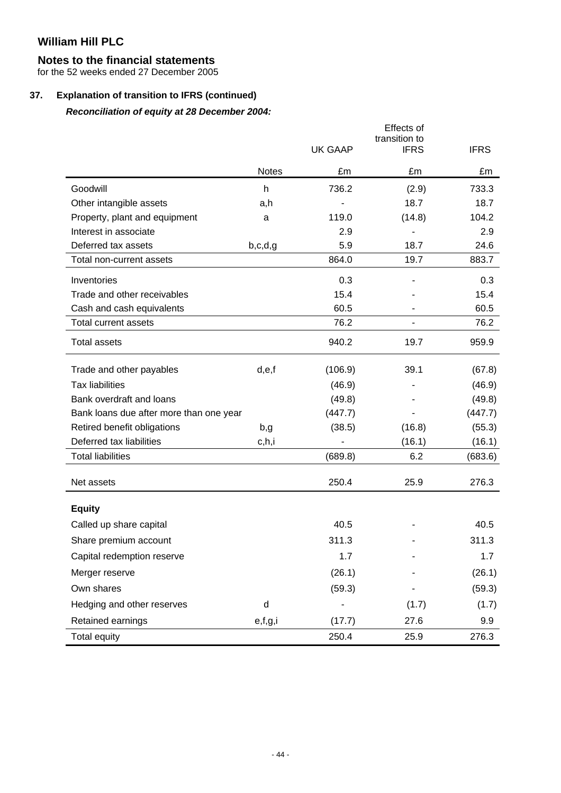# **Notes to the financial statements**

for the 52 weeks ended 27 December 2005

# **37. Explanation of transition to IFRS (continued)**

### *Reconciliation of equity at 28 December 2004:*

|                                         |              | <b>UK GAAP</b> | Effects of<br>transition to<br><b>IFRS</b> | <b>IFRS</b> |
|-----------------------------------------|--------------|----------------|--------------------------------------------|-------------|
|                                         | <b>Notes</b> | £m             | £m                                         | £m          |
| Goodwill                                | h            | 736.2          | (2.9)                                      | 733.3       |
| Other intangible assets                 | a,h          |                | 18.7                                       | 18.7        |
| Property, plant and equipment           | a            | 119.0          | (14.8)                                     | 104.2       |
| Interest in associate                   |              | 2.9            |                                            | 2.9         |
| Deferred tax assets                     | b,c,d,g      | 5.9            | 18.7                                       | 24.6        |
| Total non-current assets                |              | 864.0          | 19.7                                       | 883.7       |
| Inventories                             |              | 0.3            |                                            | 0.3         |
| Trade and other receivables             |              | 15.4           |                                            | 15.4        |
| Cash and cash equivalents               |              | 60.5           |                                            | 60.5        |
| <b>Total current assets</b>             |              | 76.2           | ä,                                         | 76.2        |
| <b>Total assets</b>                     |              | 940.2          | 19.7                                       | 959.9       |
| Trade and other payables                | d,e,f        | (106.9)        | 39.1                                       | (67.8)      |
| <b>Tax liabilities</b>                  |              | (46.9)         |                                            | (46.9)      |
| Bank overdraft and loans                |              | (49.8)         |                                            | (49.8)      |
| Bank loans due after more than one year |              | (447.7)        |                                            | (447.7)     |
| Retired benefit obligations             | b,g          | (38.5)         | (16.8)                                     | (55.3)      |
| Deferred tax liabilities                | c,h,i        |                | (16.1)                                     | (16.1)      |
| <b>Total liabilities</b>                |              | (689.8)        | 6.2                                        | (683.6)     |
| Net assets                              |              | 250.4          | 25.9                                       | 276.3       |
| <b>Equity</b>                           |              |                |                                            |             |
| Called up share capital                 |              | 40.5           |                                            | 40.5        |
| Share premium account                   |              | 311.3          |                                            | 311.3       |
| Capital redemption reserve              |              | 1.7            |                                            | 1.7         |
| Merger reserve                          |              | (26.1)         |                                            | (26.1)      |
| Own shares                              |              | (59.3)         |                                            | (59.3)      |
| Hedging and other reserves              | d            |                | (1.7)                                      | (1.7)       |
| Retained earnings                       | e,f,g,i      | (17.7)         | 27.6                                       | 9.9         |
| <b>Total equity</b>                     |              | 250.4          | 25.9                                       | 276.3       |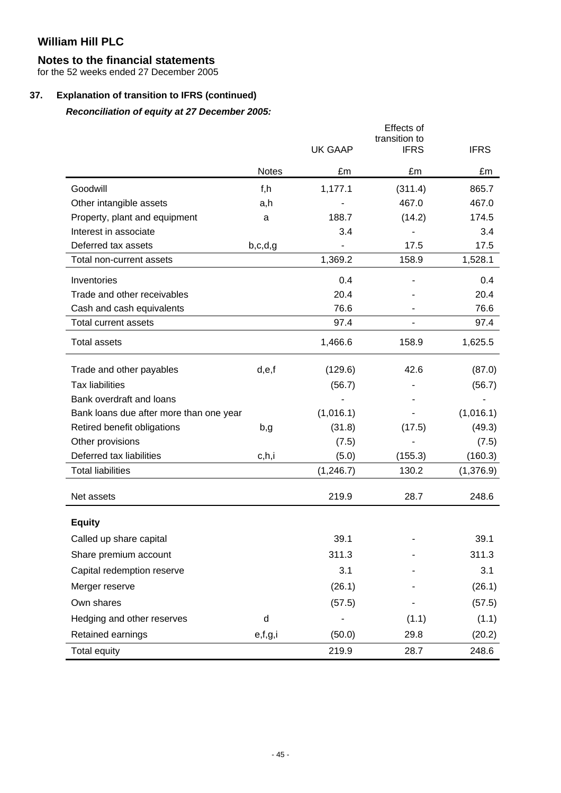# **Notes to the financial statements**

for the 52 weeks ended 27 December 2005

# **37. Explanation of transition to IFRS (continued)**

### *Reconciliation of equity at 27 December 2005:*

|                                         |              | <b>UK GAAP</b> | Effects of<br>transition to<br><b>IFRS</b> | <b>IFRS</b> |
|-----------------------------------------|--------------|----------------|--------------------------------------------|-------------|
|                                         | <b>Notes</b> | £m             | £m                                         | £m          |
| Goodwill                                | f,h          | 1,177.1        | (311.4)                                    | 865.7       |
| Other intangible assets                 | a,h          |                | 467.0                                      | 467.0       |
| Property, plant and equipment           | a            | 188.7          | (14.2)                                     | 174.5       |
| Interest in associate                   |              | 3.4            |                                            | 3.4         |
| Deferred tax assets                     | b,c,d,g      |                | 17.5                                       | 17.5        |
| Total non-current assets                |              | 1,369.2        | 158.9                                      | 1,528.1     |
| Inventories                             |              | 0.4            |                                            | 0.4         |
| Trade and other receivables             |              | 20.4           |                                            | 20.4        |
| Cash and cash equivalents               |              | 76.6           |                                            | 76.6        |
| <b>Total current assets</b>             |              | 97.4           | ä,                                         | 97.4        |
| <b>Total assets</b>                     |              | 1,466.6        | 158.9                                      | 1,625.5     |
| Trade and other payables                | d,e,f        | (129.6)        | 42.6                                       | (87.0)      |
| <b>Tax liabilities</b>                  |              | (56.7)         |                                            | (56.7)      |
| Bank overdraft and loans                |              |                |                                            |             |
| Bank loans due after more than one year |              | (1,016.1)      |                                            | (1,016.1)   |
| Retired benefit obligations             | b,g          | (31.8)         | (17.5)                                     | (49.3)      |
| Other provisions                        |              | (7.5)          |                                            | (7.5)       |
| Deferred tax liabilities                | c,h,i        | (5.0)          | (155.3)                                    | (160.3)     |
| <b>Total liabilities</b>                |              | (1, 246.7)     | 130.2                                      | (1,376.9)   |
| Net assets                              |              | 219.9          | 28.7                                       | 248.6       |
| <b>Equity</b>                           |              |                |                                            |             |
| Called up share capital                 |              | 39.1           |                                            | 39.1        |
| Share premium account                   |              | 311.3          |                                            | 311.3       |
| Capital redemption reserve              |              | 3.1            |                                            | 3.1         |
| Merger reserve                          |              | (26.1)         |                                            | (26.1)      |
| Own shares                              |              | (57.5)         |                                            | (57.5)      |
| Hedging and other reserves              | d            |                | (1.1)                                      | (1.1)       |
| Retained earnings                       | e,f,g,i      | (50.0)         | 29.8                                       | (20.2)      |
| <b>Total equity</b>                     |              | 219.9          | 28.7                                       | 248.6       |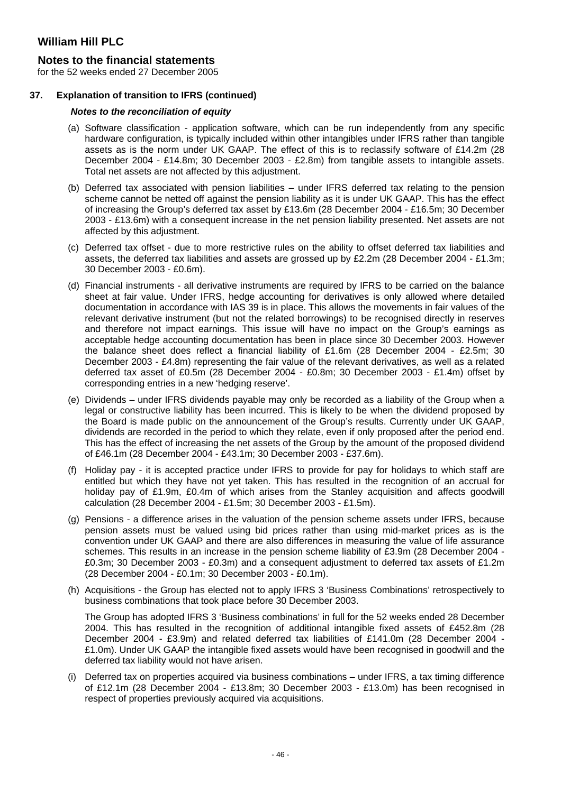### **Notes to the financial statements**

for the 52 weeks ended 27 December 2005

#### **37. Explanation of transition to IFRS (continued)**

#### *Notes to the reconciliation of equity*

- (a) Software classification application software, which can be run independently from any specific hardware configuration, is typically included within other intangibles under IFRS rather than tangible assets as is the norm under UK GAAP. The effect of this is to reclassify software of £14.2m (28 December 2004 - £14.8m; 30 December 2003 - £2.8m) from tangible assets to intangible assets. Total net assets are not affected by this adjustment.
- (b) Deferred tax associated with pension liabilities under IFRS deferred tax relating to the pension scheme cannot be netted off against the pension liability as it is under UK GAAP. This has the effect of increasing the Group's deferred tax asset by £13.6m (28 December 2004 - £16.5m; 30 December 2003 - £13.6m) with a consequent increase in the net pension liability presented. Net assets are not affected by this adjustment.
- (c) Deferred tax offset due to more restrictive rules on the ability to offset deferred tax liabilities and assets, the deferred tax liabilities and assets are grossed up by £2.2m (28 December 2004 - £1.3m; 30 December 2003 - £0.6m).
- (d) Financial instruments all derivative instruments are required by IFRS to be carried on the balance sheet at fair value. Under IFRS, hedge accounting for derivatives is only allowed where detailed documentation in accordance with IAS 39 is in place. This allows the movements in fair values of the relevant derivative instrument (but not the related borrowings) to be recognised directly in reserves and therefore not impact earnings. This issue will have no impact on the Group's earnings as acceptable hedge accounting documentation has been in place since 30 December 2003. However the balance sheet does reflect a financial liability of £1.6m (28 December 2004 - £2.5m; 30 December 2003 - £4.8m) representing the fair value of the relevant derivatives, as well as a related deferred tax asset of £0.5m (28 December 2004 - £0.8m; 30 December 2003 - £1.4m) offset by corresponding entries in a new 'hedging reserve'.
- (e) Dividends under IFRS dividends payable may only be recorded as a liability of the Group when a legal or constructive liability has been incurred. This is likely to be when the dividend proposed by the Board is made public on the announcement of the Group's results. Currently under UK GAAP, dividends are recorded in the period to which they relate, even if only proposed after the period end. This has the effect of increasing the net assets of the Group by the amount of the proposed dividend of £46.1m (28 December 2004 - £43.1m; 30 December 2003 - £37.6m).
- (f) Holiday pay it is accepted practice under IFRS to provide for pay for holidays to which staff are entitled but which they have not yet taken. This has resulted in the recognition of an accrual for holiday pay of £1.9m, £0.4m of which arises from the Stanley acquisition and affects goodwill calculation (28 December 2004 - £1.5m; 30 December 2003 - £1.5m).
- (g) Pensions a difference arises in the valuation of the pension scheme assets under IFRS, because pension assets must be valued using bid prices rather than using mid-market prices as is the convention under UK GAAP and there are also differences in measuring the value of life assurance schemes. This results in an increase in the pension scheme liability of £3.9m (28 December 2004 - £0.3m; 30 December 2003 - £0.3m) and a consequent adjustment to deferred tax assets of £1.2m (28 December 2004 - £0.1m; 30 December 2003 - £0.1m).
- (h) Acquisitions the Group has elected not to apply IFRS 3 'Business Combinations' retrospectively to business combinations that took place before 30 December 2003.

The Group has adopted IFRS 3 'Business combinations' in full for the 52 weeks ended 28 December 2004. This has resulted in the recognition of additional intangible fixed assets of £452.8m (28 December 2004 - £3.9m) and related deferred tax liabilities of £141.0m (28 December 2004 - £1.0m). Under UK GAAP the intangible fixed assets would have been recognised in goodwill and the deferred tax liability would not have arisen.

(i) Deferred tax on properties acquired via business combinations – under IFRS, a tax timing difference of £12.1m (28 December 2004 - £13.8m; 30 December 2003 - £13.0m) has been recognised in respect of properties previously acquired via acquisitions.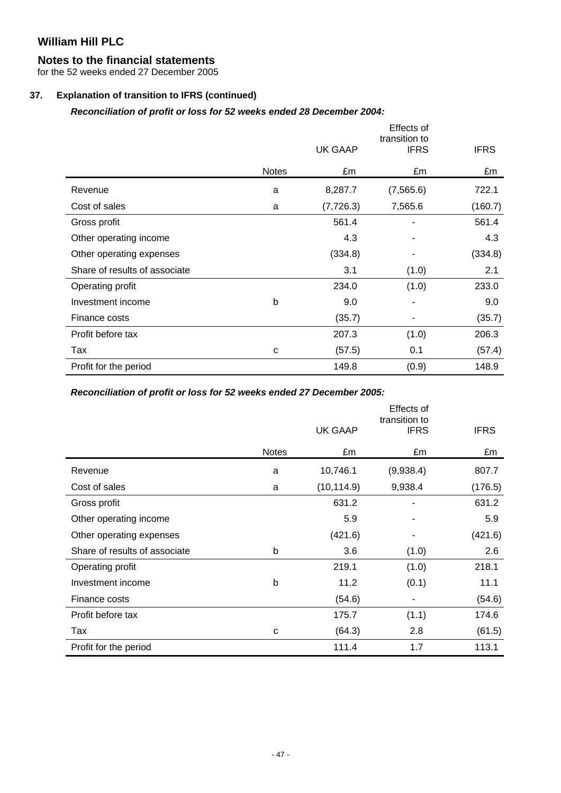## **Notes to the financial statements**

for the 52 weeks ended 27 December 2005

# **37. Explanation of transition to IFRS (continued)**

### *Reconciliation of profit or loss for 52 weeks ended 28 December 2004:*

|                               |              | <b>UK GAAP</b> | Effects of<br>transition to<br><b>IFRS</b> | <b>IFRS</b> |
|-------------------------------|--------------|----------------|--------------------------------------------|-------------|
|                               | <b>Notes</b> | £m             | £m                                         | £m          |
| Revenue                       | a            | 8,287.7        | (7, 565.6)                                 | 722.1       |
| Cost of sales                 | a            | (7, 726.3)     | 7,565.6                                    | (160.7)     |
| Gross profit                  |              | 561.4          |                                            | 561.4       |
| Other operating income        |              | 4.3            |                                            | 4.3         |
| Other operating expenses      |              | (334.8)        |                                            | (334.8)     |
| Share of results of associate |              | 3.1            | (1.0)                                      | 2.1         |
| Operating profit              |              | 234.0          | (1.0)                                      | 233.0       |
| Investment income             | b            | 9.0            |                                            | 9.0         |
| Finance costs                 |              | (35.7)         |                                            | (35.7)      |
| Profit before tax             |              | 207.3          | (1.0)                                      | 206.3       |
| Tax                           | C            | (57.5)         | 0.1                                        | (57.4)      |
| Profit for the period         |              | 149.8          | (0.9)                                      | 148.9       |

*Reconciliation of profit or loss for 52 weeks ended 27 December 2005:* 

|                               |              | <b>UK GAAP</b> | Effects of<br>transition to<br><b>IFRS</b> | <b>IFRS</b> |
|-------------------------------|--------------|----------------|--------------------------------------------|-------------|
|                               | <b>Notes</b> | £m             | £m                                         | £m          |
| Revenue                       | a            | 10,746.1       | (9,938.4)                                  | 807.7       |
| Cost of sales                 | a            | (10, 114.9)    | 9,938.4                                    | (176.5)     |
| Gross profit                  |              | 631.2          |                                            | 631.2       |
| Other operating income        |              | 5.9            |                                            | 5.9         |
| Other operating expenses      |              | (421.6)        |                                            | (421.6)     |
| Share of results of associate | b            | 3.6            | (1.0)                                      | 2.6         |
| Operating profit              |              | 219.1          | (1.0)                                      | 218.1       |
| Investment income             | b            | 11.2           | (0.1)                                      | 11.1        |
| Finance costs                 |              | (54.6)         |                                            | (54.6)      |
| Profit before tax             |              | 175.7          | (1.1)                                      | 174.6       |
| Tax                           | C            | (64.3)         | 2.8                                        | (61.5)      |
| Profit for the period         |              | 111.4          | 1.7                                        | 113.1       |